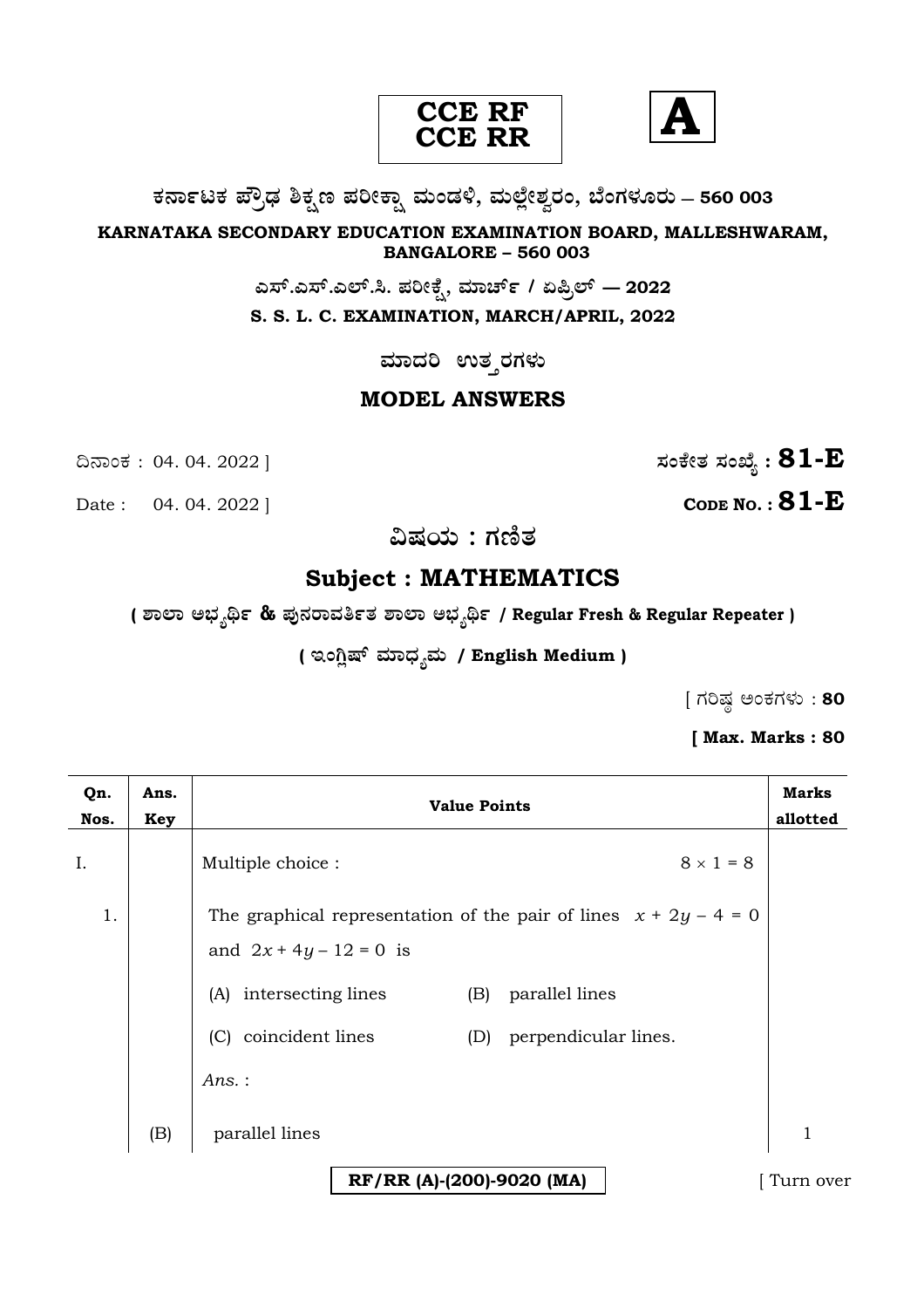



**O⁄´¤%lO⁄ ÆË√v⁄ ÃO⁄–y Æ⁄¬fiO¤– »⁄flMs⁄ÿ, »⁄fl≈Ê«fiÀ⁄ ¡⁄M, ∑ÊMV⁄◊⁄‡¡⁄fl — 560 003** 

**KARNATAKA SECONDARY EDUCATION EXAMINATION BOARD, MALLESHWARAM, BANGALORE – 560 003** 

**G—È.G—È.G≈È.". Æ⁄¬fiOÊ⁄–, »⁄·¤^È% / HØ√≈È — 2022**

**S. S. L. C. EXAMINATION, MARCH/APRIL, 2022** 

ಮಾದರಿ ಉತ**್ತರಗ**ಳು

### **MODEL ANSWERS**

**CODE NO. : 81-E** 

ದಿನಾಂಕ : 04. 04. 2022 ]  $\vec{B} = \vec{B}$ 

**…Œ⁄æ⁄fl : V⁄{}⁄**

## **Subject : MATHEMATICS**

**( À¤≈¤ @∫⁄¥¿£% & Æ⁄'¥´⁄¡¤»⁄~%}⁄ À¤≈¤ @∫⁄¥¿£% / Regular Fresh & Regular Repeater )**

( ಇಂಗ್ಷಿಷ್ ಮಾಧ್ನಮ / English Medium )

 $[$  ಗರಿಷ್ಣ ಅಂಕಗಳು: 80

**[ Max. Marks : 80** 

| Qn.<br>Nos. | Ans.<br>Key | <b>Value Points</b>                                                                                                                                                                                                | <b>Marks</b><br>allotted |
|-------------|-------------|--------------------------------------------------------------------------------------------------------------------------------------------------------------------------------------------------------------------|--------------------------|
| I.          |             | $8 \times 1 = 8$<br>Multiple choice :                                                                                                                                                                              |                          |
| 1.          |             | The graphical representation of the pair of lines $x + 2y - 4 = 0$<br>and $2x + 4y - 12 = 0$ is<br>(A) intersecting lines<br>parallel lines<br>(B)<br>(C) coincident lines<br>perpendicular lines.<br>(D)<br>Ans.: |                          |
|             | (B)         | parallel lines                                                                                                                                                                                                     | 1                        |
|             |             | RF/RR (A)-(200)-9020 (MA)                                                                                                                                                                                          | Turn over                |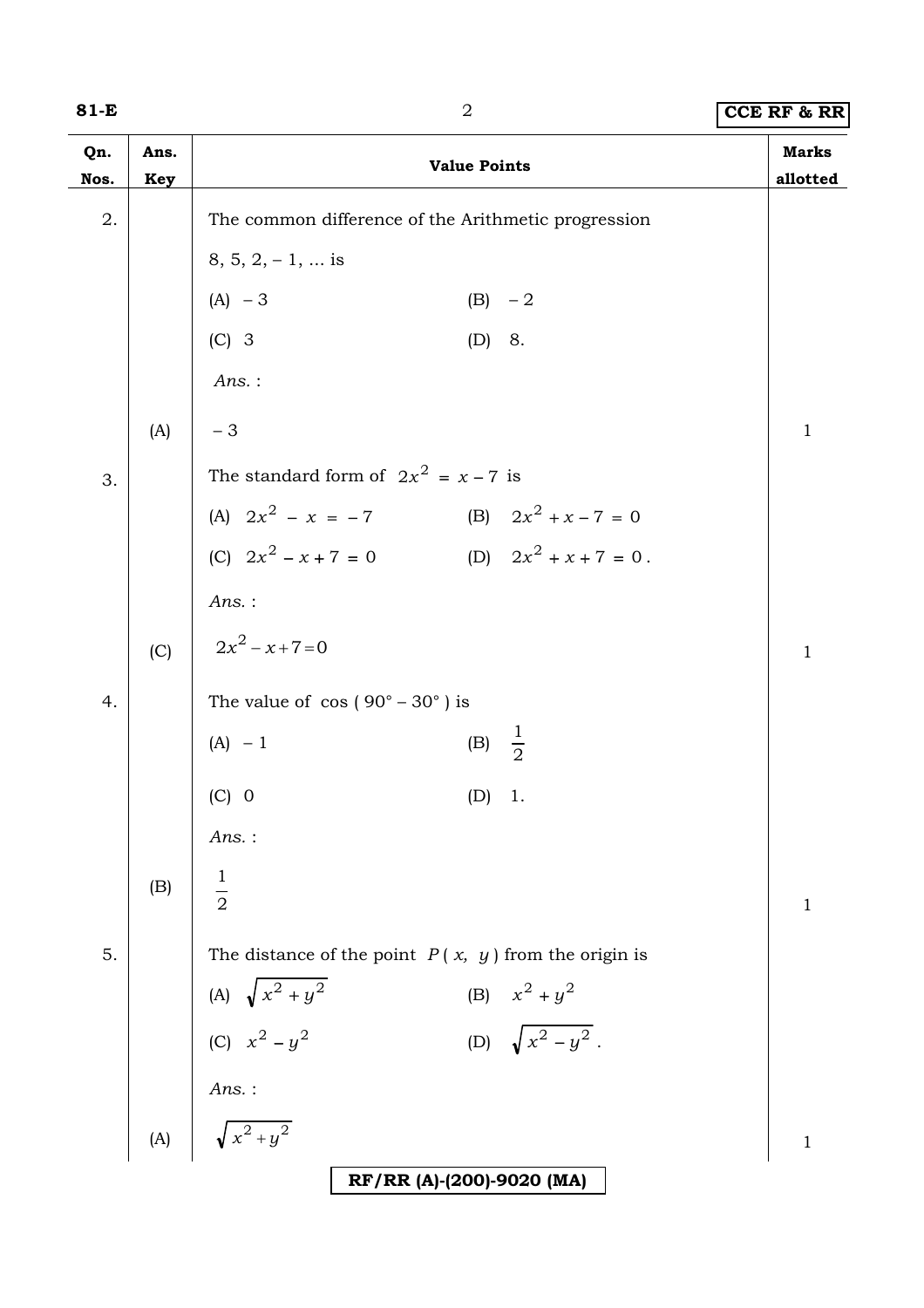| w<br>۰. |  |  |
|---------|--|--|
|---------|--|--|

# **81-B** 2 **CCE RF & RR**

| Qn.<br>Nos. | Ans.<br><b>Key</b> |                                           | <b>Value Points</b>                                    |                          | <b>Marks</b><br>allotted |
|-------------|--------------------|-------------------------------------------|--------------------------------------------------------|--------------------------|--------------------------|
| 2.          |                    |                                           | The common difference of the Arithmetic progression    |                          |                          |
|             |                    | $8, 5, 2, -1, \dots$ is                   |                                                        |                          |                          |
|             |                    | $(A) - 3$                                 |                                                        | $(B) -2$                 |                          |
|             |                    | $(C)$ 3                                   |                                                        | (D) 8.                   |                          |
|             |                    | $Ans.$ :                                  |                                                        |                          |                          |
|             | (A)                | $-3$                                      |                                                        |                          | $\mathbf{1}$             |
| 3.          |                    |                                           | The standard form of $2x^2 = x - 7$ is                 |                          |                          |
|             |                    |                                           | (A) $2x^2 - x = -7$ (B) $2x^2 + x - 7 = 0$             |                          |                          |
|             |                    | (C) $2x^2 - x + 7 = 0$                    |                                                        | (D) $2x^2 + x + 7 = 0$ . |                          |
|             |                    | $Ans.$ :                                  |                                                        |                          |                          |
|             | (C)                | $2x^2 - x + 7 = 0$                        |                                                        |                          | $\mathbf{1}$             |
| 4.          |                    |                                           | The value of $\cos(90^\circ - 30^\circ)$ is            |                          |                          |
|             |                    | $(A) - 1$                                 |                                                        | (B) $\frac{1}{2}$        |                          |
|             |                    | $(C)$ 0                                   | (D)                                                    | 1.                       |                          |
|             |                    | $Ans.$ :                                  |                                                        |                          |                          |
|             | (B)                | $\frac{1}{2}$                             |                                                        |                          |                          |
|             |                    |                                           |                                                        |                          | $\mathbf 1$              |
| 5.          |                    |                                           | The distance of the point $P(x, y)$ from the origin is |                          |                          |
|             |                    | (A) $\sqrt{x^2 + y^2}$<br>(C) $x^2 - y^2$ |                                                        | (B) $x^2 + y^2$          |                          |
|             |                    |                                           |                                                        | (D) $\sqrt{x^2-y^2}$ .   |                          |
|             |                    | Ans.:                                     |                                                        |                          |                          |
|             | (A)                | $\sqrt{x^2+y^2}$                          |                                                        |                          | $\mathbf{1}$             |
|             |                    |                                           | RF/RR (A)-(200)-9020 (MA)                              |                          |                          |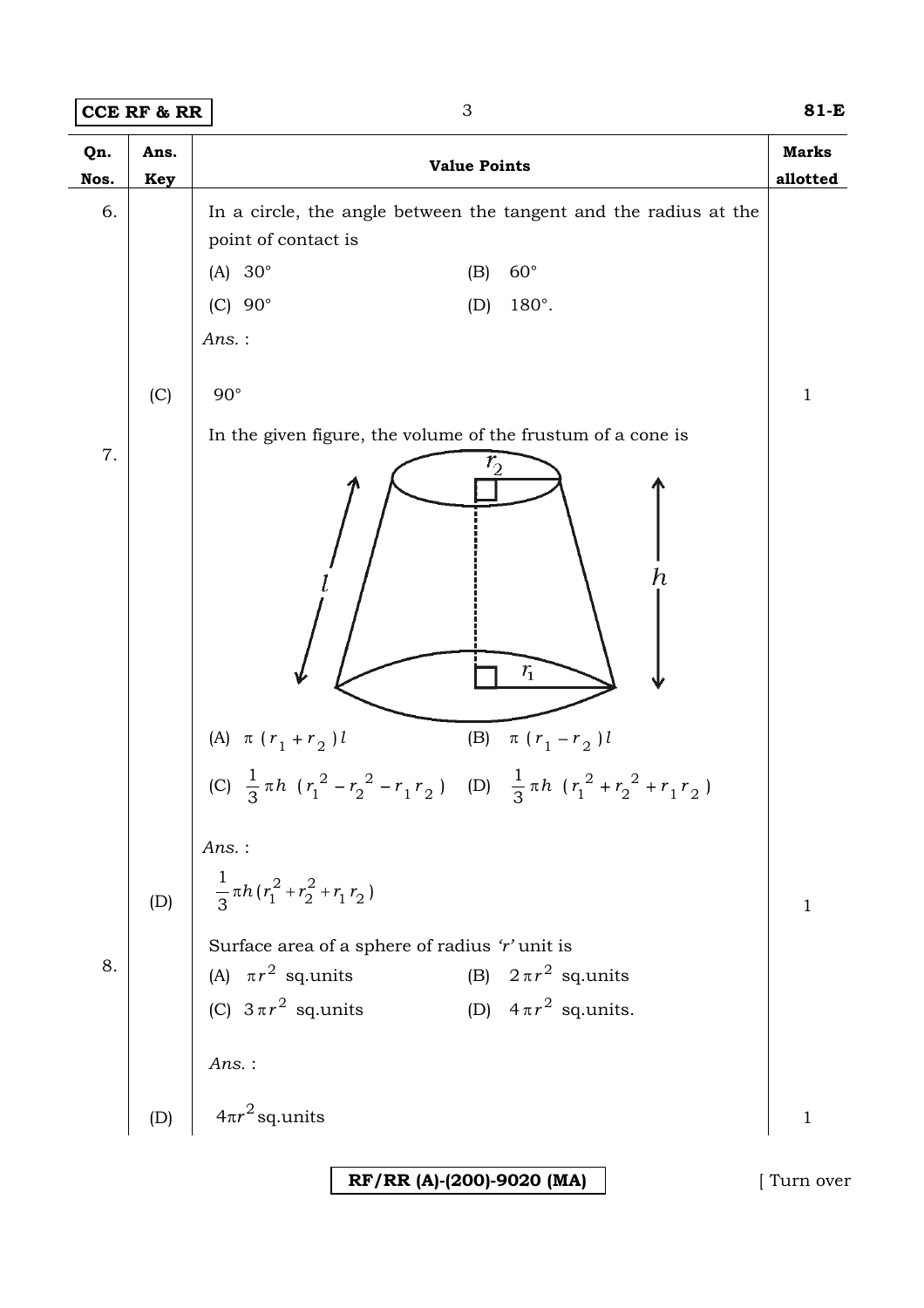## **CCE RF & RR** 3 **81-E**

| Qn.<br>Nos. | Ans.<br>Key | <b>Value Points</b>                                                                                     | <b>Marks</b><br>allotted |
|-------------|-------------|---------------------------------------------------------------------------------------------------------|--------------------------|
| 6.          |             | In a circle, the angle between the tangent and the radius at the<br>point of contact is                 |                          |
|             |             | (A) $30^\circ$<br>$60^{\circ}$<br>(B)                                                                   |                          |
|             |             | (C) $90^\circ$<br>180°.<br>(D)                                                                          |                          |
|             |             | Ans.:                                                                                                   |                          |
|             | (C)         | $90^{\circ}$                                                                                            | $\mathbf{1}$             |
| 7.          |             | In the given figure, the volume of the frustum of a cone is                                             |                          |
|             |             | $r_{\!\scriptscriptstyle 2}^{}$<br>$\boldsymbol{h}$<br>$r_{1}$                                          |                          |
|             |             | (A) $\pi$ ( $r_1 + r_2$ ) l<br>(B) $\pi (r_1 - r_2) l$                                                  |                          |
|             |             | (C) $\frac{1}{3} \pi h$ $(r_1^2 - r_2^2 - r_1 r_2)$ (D) $\frac{1}{3} \pi h$ $(r_1^2 + r_2^2 + r_1 r_2)$ |                          |
|             |             | $Ans.$ :                                                                                                |                          |
|             | (D)         | $\frac{1}{3} \pi h (r_1^2 + r_2^2 + r_1 r_2)$                                                           | $\mathbf{1}$             |
|             |             | Surface area of a sphere of radius 'r' unit is                                                          |                          |
| 8.          |             | (A) $\pi r^2$ sq.units<br>(B) $2\pi r^2$ sq.units                                                       |                          |
|             |             | (C) $3\pi r^2$ sq.units<br>(D) $4\pi r^2$ sq.units.                                                     |                          |
|             |             | Ans.:                                                                                                   |                          |
|             | (D)         | $4\pi r^2$ sq.units                                                                                     | $\mathbf{1}$             |

**RF/RR (A)-(200)-9020 (MA)** [ Turn over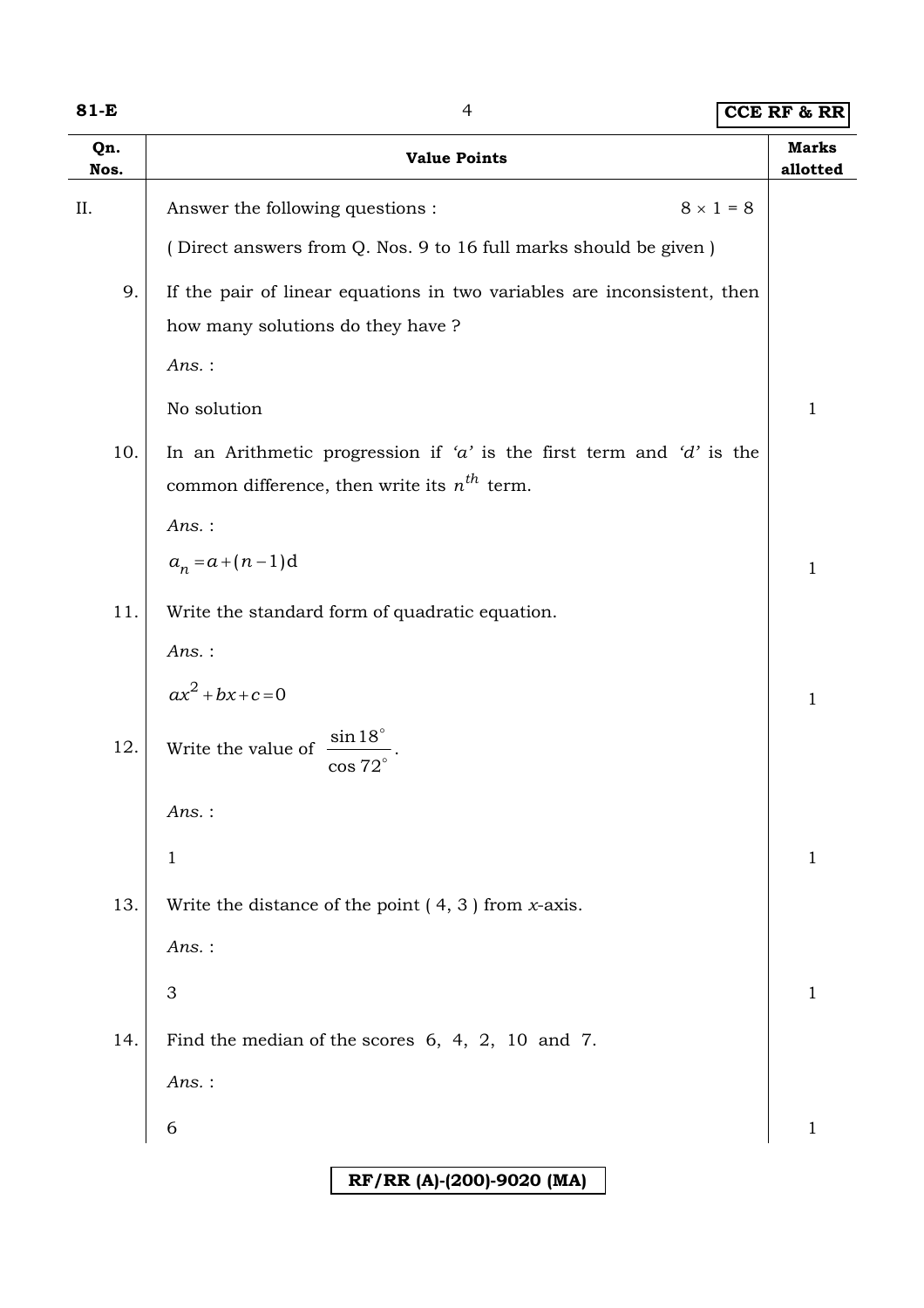| M.<br>۰. |  |
|----------|--|
|----------|--|

**81-E** 4 **CCE RF & RR**

| Qn.<br>Nos. | <b>Value Points</b>                                                     | <b>Marks</b><br>allotted |
|-------------|-------------------------------------------------------------------------|--------------------------|
| II.         | $8 \times 1 = 8$<br>Answer the following questions :                    |                          |
|             | (Direct answers from Q. Nos. 9 to 16 full marks should be given)        |                          |
| 9.          | If the pair of linear equations in two variables are inconsistent, then |                          |
|             | how many solutions do they have ?                                       |                          |
|             | $Ans.$ :                                                                |                          |
|             | No solution                                                             | $\mathbf{1}$             |
| 10.         | In an Arithmetic progression if 'a' is the first term and 'd' is the    |                          |
|             | common difference, then write its $n^{th}$ term.                        |                          |
|             | $Ans.$ :                                                                |                          |
|             | $a_n = a + (n-1)d$                                                      | $\mathbf{1}$             |
| 11.         | Write the standard form of quadratic equation.                          |                          |
|             | $Ans.$ :                                                                |                          |
|             | $ax^2 + bx + c = 0$                                                     | $\mathbf{1}$             |
| 12.         | $\sin 18^\circ$<br>Write the value of<br>$\cos 72^\circ$                |                          |
|             | Ans. :                                                                  |                          |
|             | $\mathbf{1}$                                                            | $\mathbf{1}$             |
| 13.         | Write the distance of the point $(4, 3)$ from <i>x</i> -axis.           |                          |
|             | $Ans.$ :                                                                |                          |
|             | $\mathfrak 3$                                                           | $\mathbf{1}$             |
| 14.         | Find the median of the scores $6, 4, 2, 10$ and 7.                      |                          |
|             | $Ans.$ :                                                                |                          |
|             | 6                                                                       | $\mathbf{1}$             |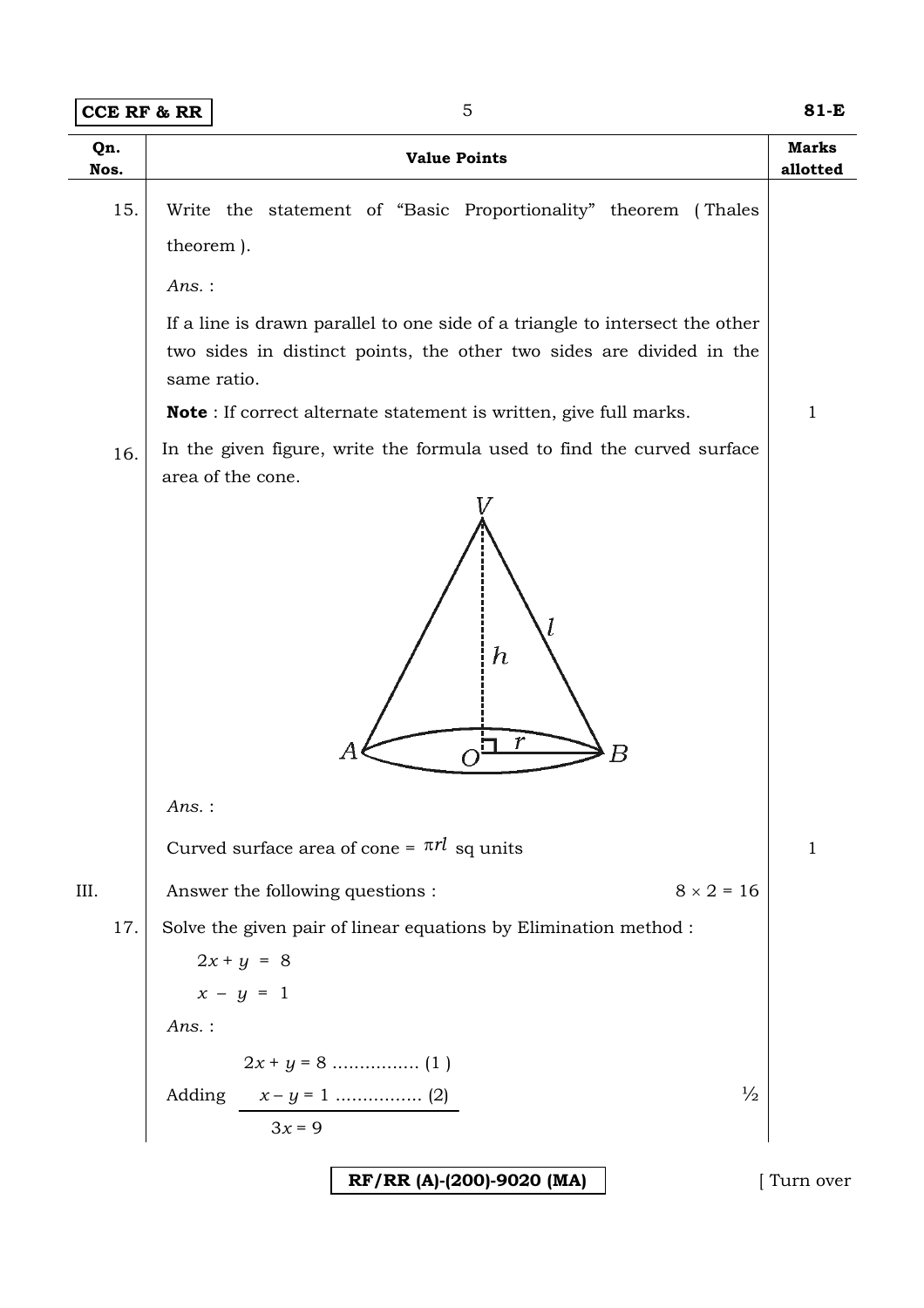| <b>CCE RF &amp; RR</b> |                       | 5                                                                                                                                                                   | 81-E                     |
|------------------------|-----------------------|---------------------------------------------------------------------------------------------------------------------------------------------------------------------|--------------------------|
| Qn.<br>Nos.            |                       | <b>Value Points</b>                                                                                                                                                 | <b>Marks</b><br>allotted |
| 15.                    | theorem).<br>$Ans.$ : | Write the statement of "Basic Proportionality" theorem (Thales                                                                                                      |                          |
|                        |                       | If a line is drawn parallel to one side of a triangle to intersect the other<br>two sides in distinct points, the other two sides are divided in the<br>same ratio. |                          |
|                        |                       | <b>Note</b> : If correct alternate statement is written, give full marks.                                                                                           | 1                        |
| 16.                    | $Ans.$ :              | In the given figure, write the formula used to find the curved surface<br>area of the cone.<br>$\boldsymbol{h}$<br>$\boldsymbol{r}$<br>Α<br>Β                       |                          |
|                        |                       | Curved surface area of cone = $\pi r l$ sq units                                                                                                                    | 1                        |
| III.                   |                       | $8 \times 2 = 16$<br>Answer the following questions :                                                                                                               |                          |
| 17.                    |                       | Solve the given pair of linear equations by Elimination method :                                                                                                    |                          |
|                        |                       | $2x + y = 8$                                                                                                                                                        |                          |
|                        |                       | $x - y = 1$                                                                                                                                                         |                          |
|                        | $Ans.$ :              |                                                                                                                                                                     |                          |
|                        |                       |                                                                                                                                                                     |                          |
|                        |                       | $\frac{1}{2}$<br>$3x = 9$                                                                                                                                           |                          |
|                        |                       |                                                                                                                                                                     |                          |
|                        |                       | RF/RR (A)-(200)-9020 (MA)                                                                                                                                           | [ Turn over              |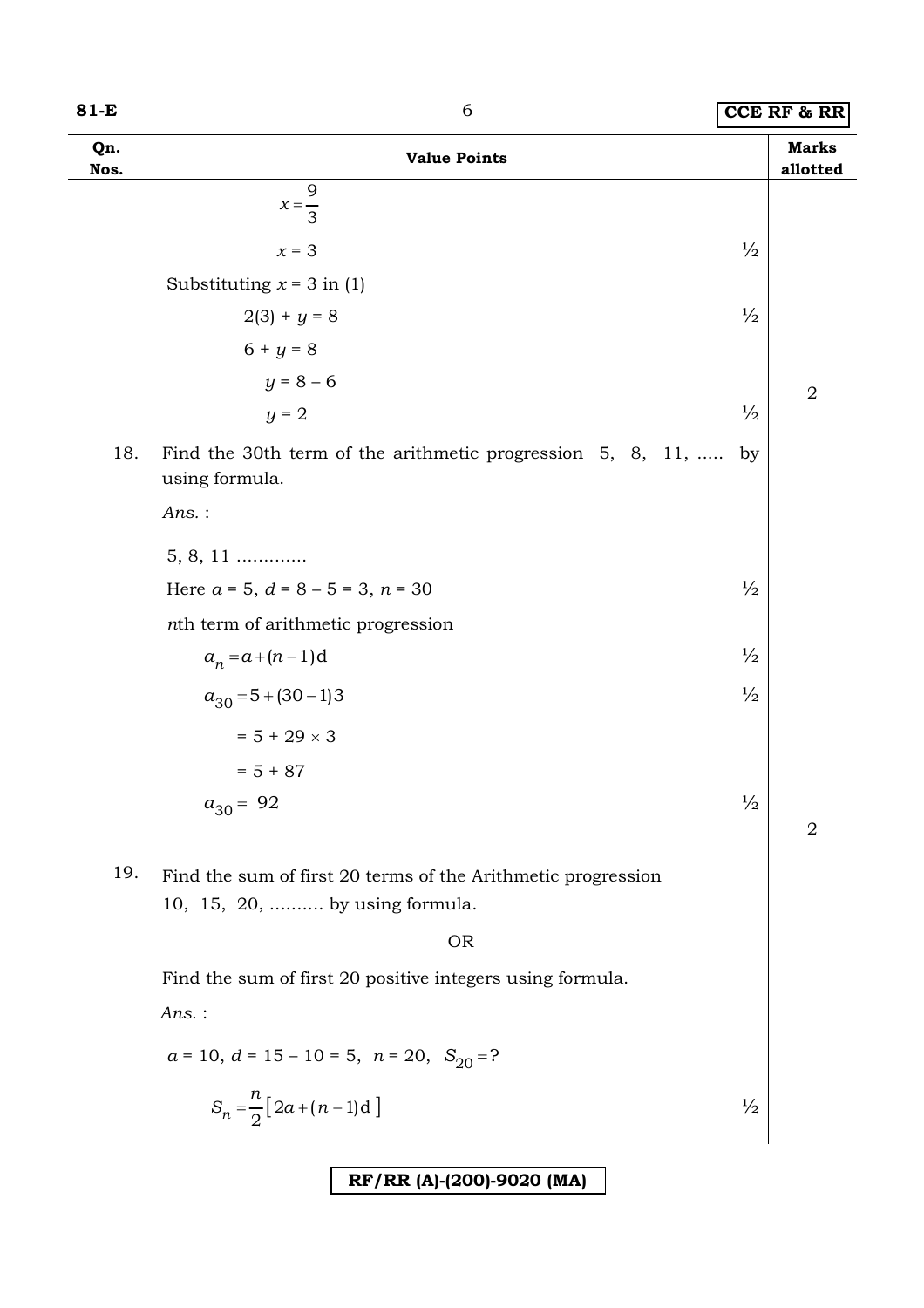#### **81-E** 6 **CCE RF & RR**

| Qn.<br>Nos. | <b>Value Points</b>                                                                            |               | <b>Marks</b><br>allotted |
|-------------|------------------------------------------------------------------------------------------------|---------------|--------------------------|
|             | 9<br>$x=\frac{1}{3}$                                                                           |               |                          |
|             | $x = 3$                                                                                        | $\frac{1}{2}$ |                          |
|             | Substituting $x = 3$ in (1)                                                                    |               |                          |
|             | $2(3) + y = 8$                                                                                 | $\frac{1}{2}$ |                          |
|             | $6 + y = 8$                                                                                    |               |                          |
|             | $y = 8 - 6$                                                                                    |               | $\overline{2}$           |
|             | $y = 2$                                                                                        | $\frac{1}{2}$ |                          |
| 18.         | Find the 30th term of the arithmetic progression 5, 8, 11,<br>using formula.                   | by            |                          |
|             | $Ans.$ :                                                                                       |               |                          |
|             | $5, 8, 11$                                                                                     |               |                          |
|             | Here $a = 5$ , $d = 8 - 5 = 3$ , $n = 30$                                                      | $\frac{1}{2}$ |                          |
|             | nth term of arithmetic progression                                                             |               |                          |
|             | $a_n = a + (n-1)d$                                                                             | $\frac{1}{2}$ |                          |
|             | $a_{30} = 5 + (30 - 1)3$                                                                       | $\frac{1}{2}$ |                          |
|             | $= 5 + 29 \times 3$                                                                            |               |                          |
|             | $= 5 + 87$                                                                                     |               |                          |
|             | $a_{30} = 92$                                                                                  | $\frac{1}{2}$ |                          |
|             |                                                                                                |               | 2                        |
| 19.         | Find the sum of first 20 terms of the Arithmetic progression<br>10, 15, 20,  by using formula. |               |                          |
|             | <b>OR</b>                                                                                      |               |                          |
|             | Find the sum of first 20 positive integers using formula.                                      |               |                          |
|             | $Ans.$ :                                                                                       |               |                          |
|             | $a = 10, d = 15 - 10 = 5, n = 20, S_{20} = ?$                                                  |               |                          |
|             | $S_n = \frac{n}{2} [2a + (n-1)d]$                                                              | $\frac{1}{2}$ |                          |
|             |                                                                                                |               |                          |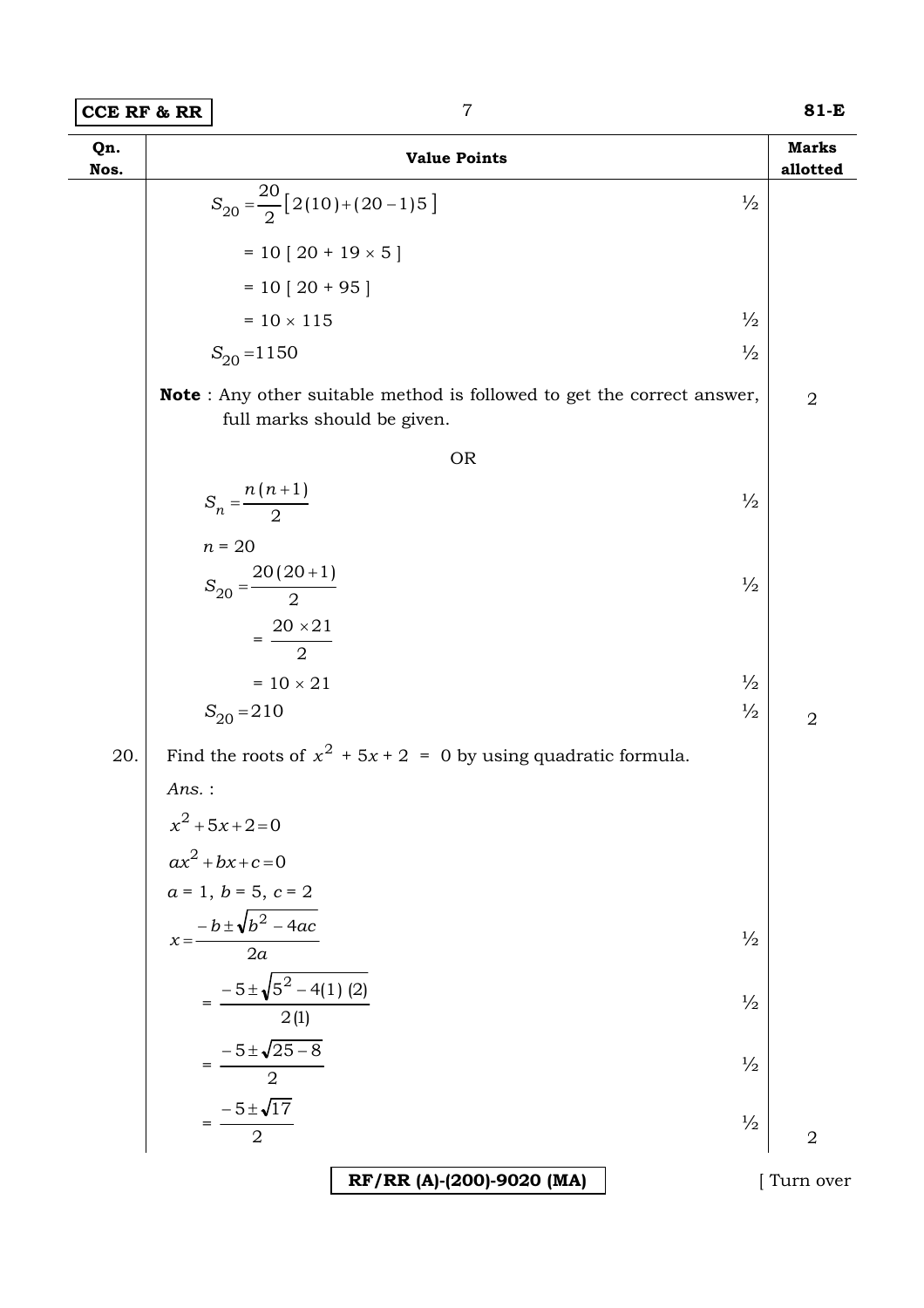| Qn.<br>Nos. | <b>Value Points</b>                                                                                           | <b>Marks</b><br>allotted |
|-------------|---------------------------------------------------------------------------------------------------------------|--------------------------|
|             | $S_{20} = \frac{20}{2} [2(10) + (20 - 1)5]$<br>$\frac{1}{2}$                                                  |                          |
|             | $= 10 [20 + 19 \times 5]$                                                                                     |                          |
|             | $= 10 [20 + 95]$                                                                                              |                          |
|             | $\frac{1}{2}$<br>$= 10 \times 115$                                                                            |                          |
|             | $\frac{1}{2}$<br>$S_{20} = 1150$                                                                              |                          |
|             | <b>Note</b> : Any other suitable method is followed to get the correct answer,<br>full marks should be given. | $\overline{2}$           |
|             | <b>OR</b>                                                                                                     |                          |
|             | $S_n = \frac{n(n+1)}{2}$<br>$\frac{1}{2}$                                                                     |                          |
|             | $n = 20$<br>$S_{20} = \frac{20(20+1)}{2}$<br>$\frac{1}{2}$                                                    |                          |
|             | $=\frac{20\times21}{2}$                                                                                       |                          |
|             | $\frac{1}{2}$<br>$= 10 \times 21$                                                                             |                          |
|             | $\frac{1}{2}$<br>$S_{20} = 210$                                                                               | $\overline{2}$           |
| 20.         | Find the roots of $x^2 + 5x + 2 = 0$ by using quadratic formula.                                              |                          |
|             | Ans.:<br>$x^2 + 5x + 2 = 0$                                                                                   |                          |
|             | $ax^2 + bx + c = 0$                                                                                           |                          |
|             | $a = 1, b = 5, c = 2$                                                                                         |                          |
|             | $x = \frac{-b \pm \sqrt{b^2 - 4ac}}{2a}$<br>$\frac{1}{2}$                                                     |                          |
|             |                                                                                                               |                          |
|             | $=\frac{-5\pm\sqrt{5^2-4(1)(2)}}{2(1)}$<br>$\frac{1}{2}$                                                      |                          |
|             | $=\frac{-5 \pm \sqrt{25 - 8}}{2}$<br>$\frac{1}{2}$                                                            |                          |
|             | $=\frac{-5\pm\sqrt{17}}{2}$<br>$\frac{1}{2}$                                                                  | $\overline{2}$           |
|             | RF/RR (A)-(200)-9020 (MA)                                                                                     | [Turn over               |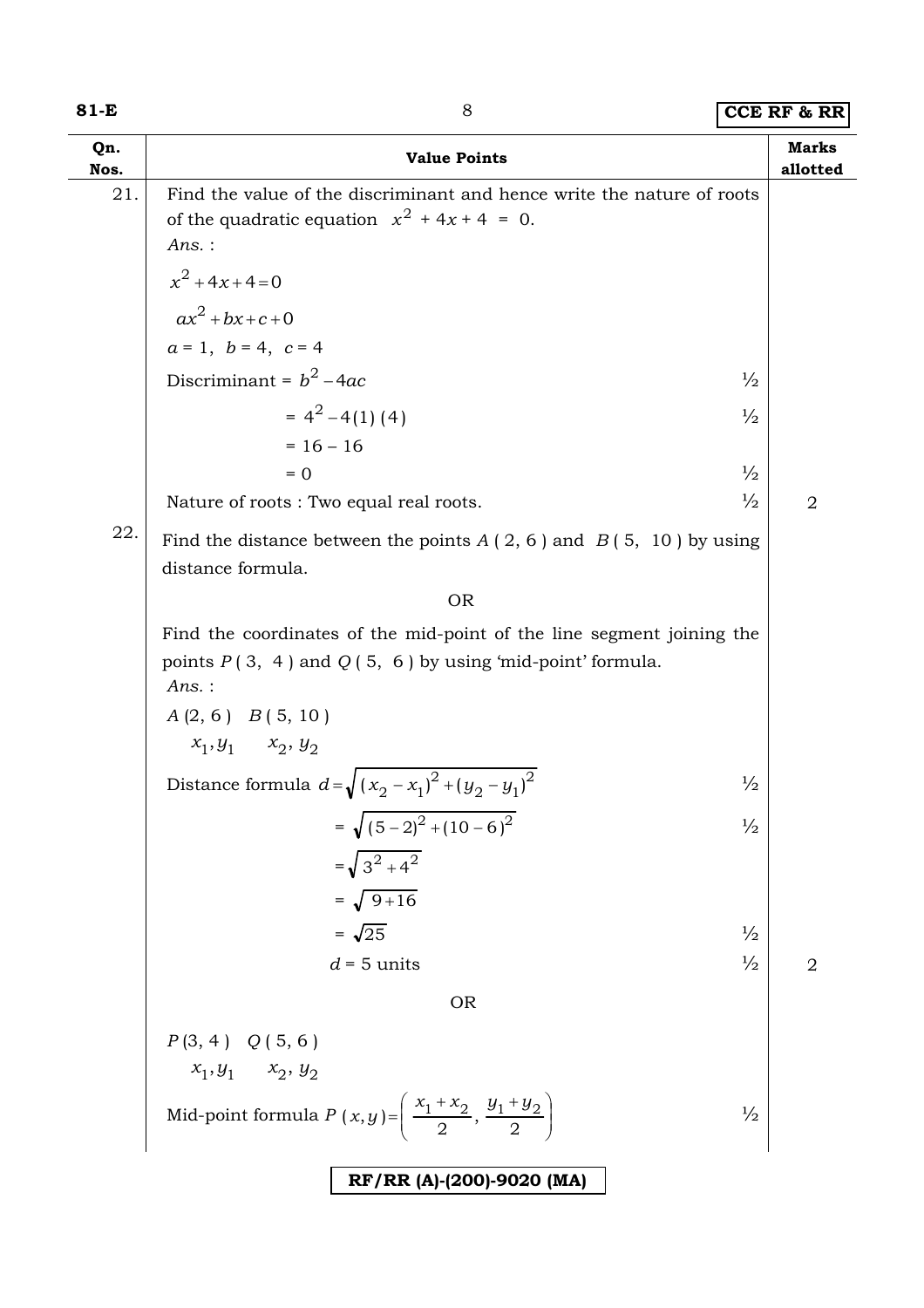### **81-E** 8 **81-E**

| Qn.<br>Nos. | <b>Value Points</b>                                                                                                                            | <b>Marks</b><br>allotted |
|-------------|------------------------------------------------------------------------------------------------------------------------------------------------|--------------------------|
| 21.         | Find the value of the discriminant and hence write the nature of roots<br>of the quadratic equation $x^2 + 4x + 4 = 0$ .<br>Ans.:              |                          |
|             | $x^2 + 4x + 4 = 0$                                                                                                                             |                          |
|             | $ax^2+bx+c+0$                                                                                                                                  |                          |
|             | $a = 1, b = 4, c = 4$                                                                                                                          |                          |
|             | Discriminant = $b^2$ – 4ac<br>$\frac{1}{2}$                                                                                                    |                          |
|             | $= 4^2 - 4(1)(4)$<br>$\frac{1}{2}$                                                                                                             |                          |
|             | $= 16 - 16$                                                                                                                                    |                          |
|             | $\frac{1}{2}$<br>$= 0$                                                                                                                         |                          |
|             | $\frac{1}{2}$<br>Nature of roots: Two equal real roots.                                                                                        | 2                        |
| 22.         | Find the distance between the points $A(2, 6)$ and $B(5, 10)$ by using<br>distance formula.                                                    |                          |
|             | <b>OR</b>                                                                                                                                      |                          |
|             | Find the coordinates of the mid-point of the line segment joining the<br>points $P(3, 4)$ and $Q(5, 6)$ by using 'mid-point' formula.<br>Ans.: |                          |
|             | $A(2, 6)$ $B(5, 10)$                                                                                                                           |                          |
|             | $x_1, y_1$ $x_2, y_2$                                                                                                                          |                          |
|             | Distance formula $d=\sqrt{(x_2-x_1)^2+(y_2-y_1)^2}$<br>$\frac{1}{2}$                                                                           |                          |
|             | $=\sqrt{(5-2)^2+(10-6)^2}$<br>$\frac{1}{2}$                                                                                                    |                          |
|             | $=\sqrt{3^2+4^2}$                                                                                                                              |                          |
|             | $=\sqrt{9+16}$                                                                                                                                 |                          |
|             | $=\sqrt{25}$<br>$\frac{1}{2}$                                                                                                                  |                          |
|             | $\frac{1}{2}$<br>$d = 5$ units                                                                                                                 | $\overline{2}$           |
|             | <b>OR</b>                                                                                                                                      |                          |
|             | $P(3, 4)$ $Q(5, 6)$                                                                                                                            |                          |
|             | $x_1,y_1 \quad x_2,y_2$                                                                                                                        |                          |
|             | Mid-point formula $P(x,y) = \left(\frac{x_1 + x_2}{2}, \frac{y_1 + y_2}{2}\right)$<br>$\frac{1}{2}$                                            |                          |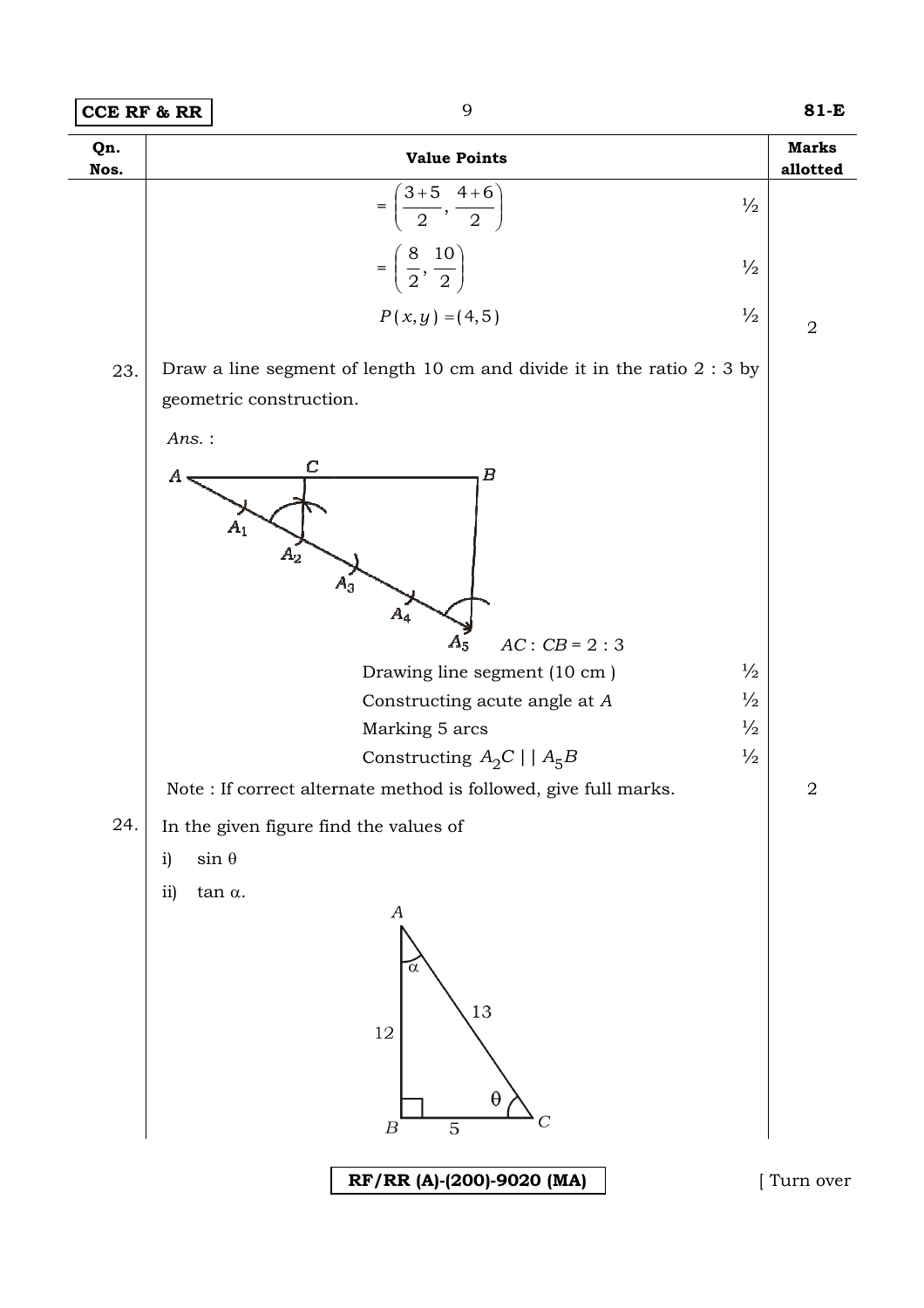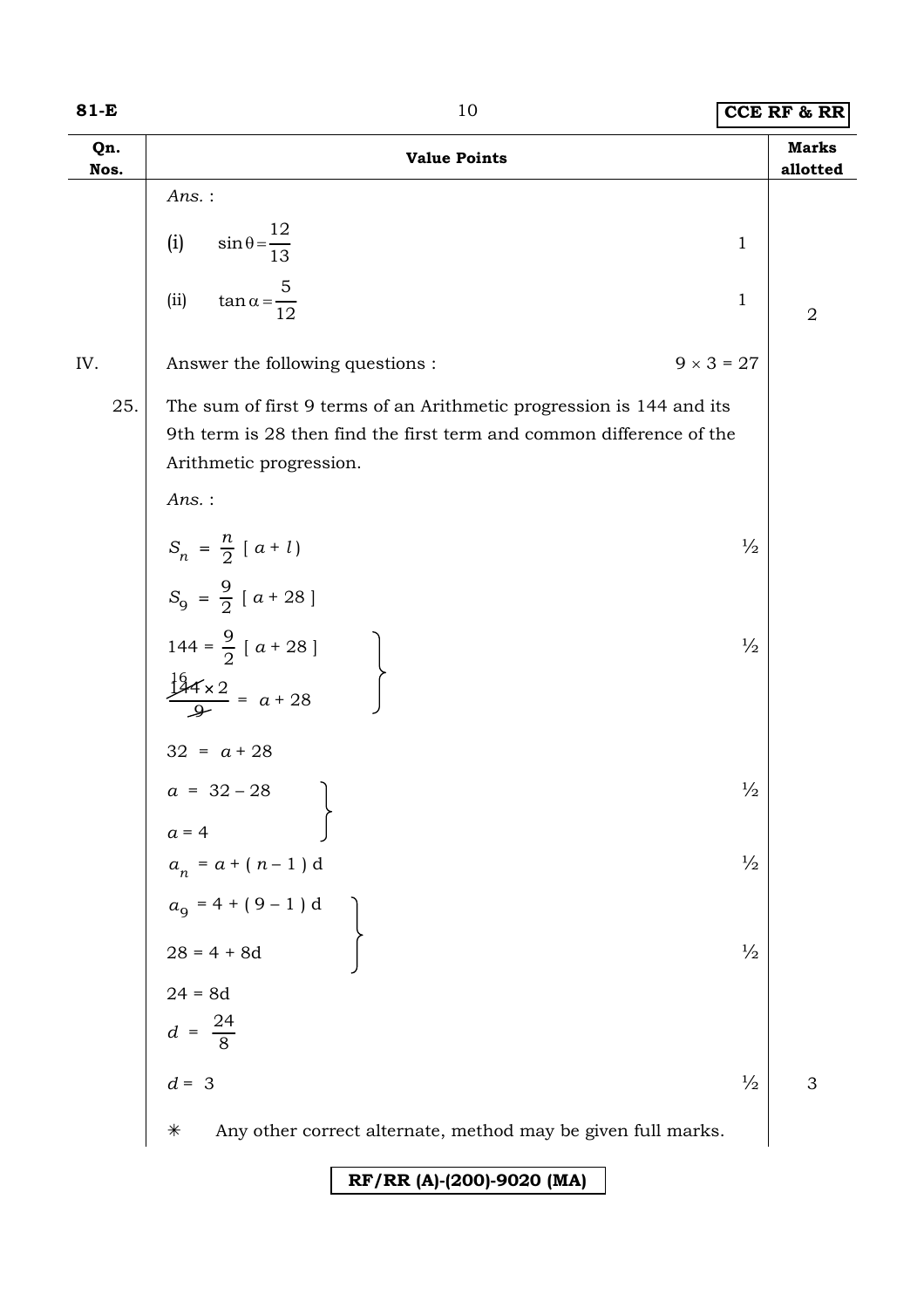| Qn.<br>Nos. | <b>Value Points</b>                                                                                                                                                     | <b>Marks</b><br>allotted |
|-------------|-------------------------------------------------------------------------------------------------------------------------------------------------------------------------|--------------------------|
|             | Ans.:                                                                                                                                                                   |                          |
|             | $\sin \theta = \frac{12}{13}$<br>(i)<br>$\mathbf{1}$                                                                                                                    |                          |
|             | $\tan \alpha = \frac{5}{12}$<br>(ii)<br>$\mathbf{1}$                                                                                                                    | $\overline{2}$           |
| IV.         | $9 \times 3 = 27$<br>Answer the following questions :                                                                                                                   |                          |
| 25.         | The sum of first 9 terms of an Arithmetic progression is 144 and its<br>9th term is 28 then find the first term and common difference of the<br>Arithmetic progression. |                          |
|             | Ans.:                                                                                                                                                                   |                          |
|             | $S_n = \frac{n}{2} [a + l]$<br>$\frac{1}{2}$                                                                                                                            |                          |
|             | $S_9 = \frac{9}{2} [a + 28]$                                                                                                                                            |                          |
|             | 144 = $\frac{9}{2}$ [ a + 28 ]<br>$\frac{16}{2}$<br>$\frac{2}{3}$ = a + 28<br>$\frac{1}{2}$                                                                             |                          |
|             |                                                                                                                                                                         |                          |
|             | $32 = a + 28$<br>$a = 32 - 28$<br>$\frac{1}{2}$                                                                                                                         |                          |
|             | $a = 4$                                                                                                                                                                 |                          |
|             | $a_n = a + (n - 1)$ d<br>$\frac{1}{2}$                                                                                                                                  |                          |
|             | $a_9 = 4 + (9 - 1) d$<br>28 = 4 + 8d                                                                                                                                    |                          |
|             | $\frac{1}{2}$                                                                                                                                                           |                          |
|             |                                                                                                                                                                         |                          |
|             | $24 = 8d$<br>$d = \frac{24}{8}$                                                                                                                                         |                          |
|             | $d = 3$<br>$\frac{1}{2}$                                                                                                                                                | 3                        |
|             | $\ast$<br>Any other correct alternate, method may be given full marks.                                                                                                  |                          |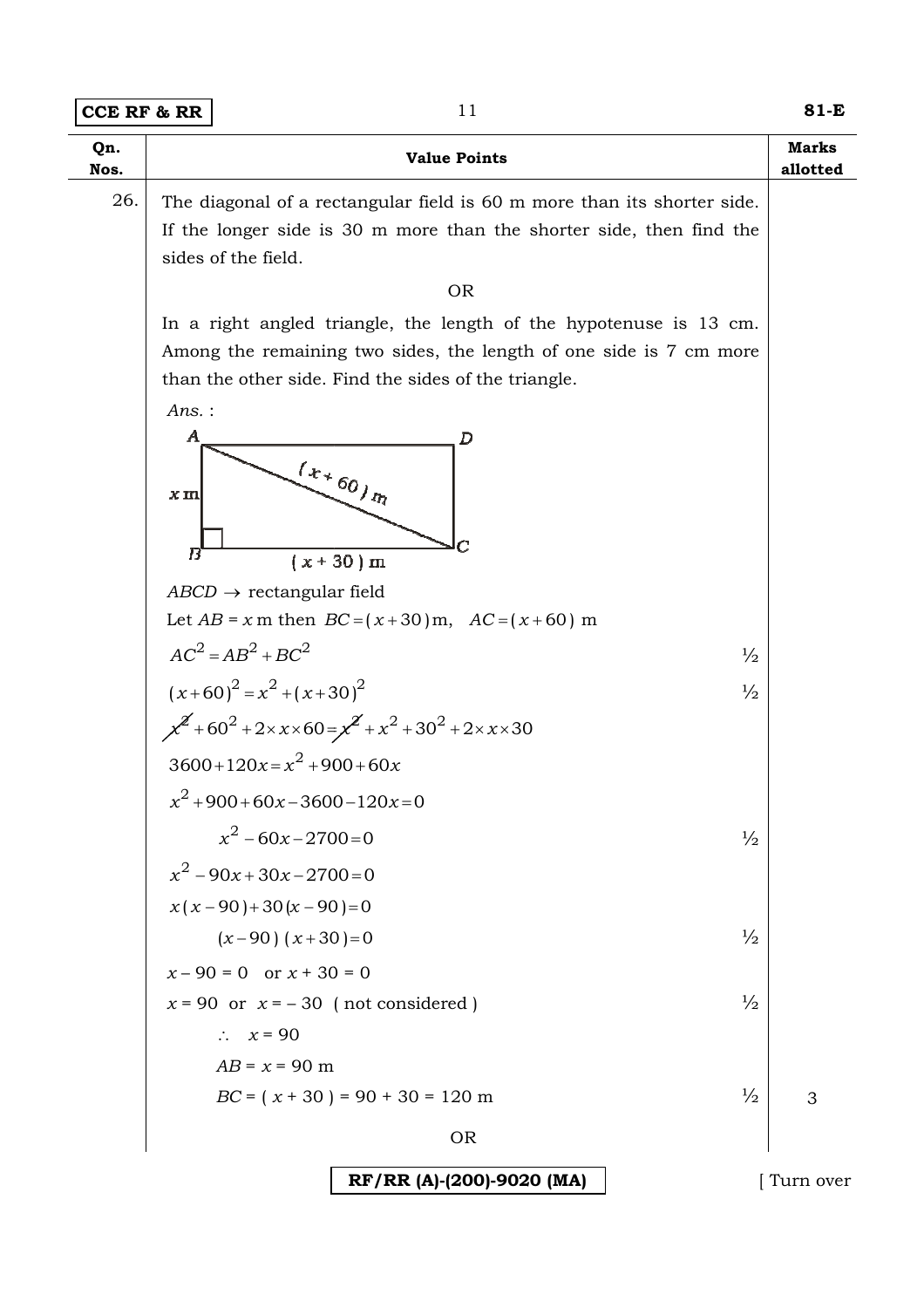| Qn.<br>Nos. | <b>Value Points</b>                                                                         | <b>Marks</b><br>allotted |
|-------------|---------------------------------------------------------------------------------------------|--------------------------|
| 26.         | The diagonal of a rectangular field is 60 m more than its shorter side.                     |                          |
|             | If the longer side is 30 m more than the shorter side, then find the<br>sides of the field. |                          |
|             | <b>OR</b>                                                                                   |                          |
|             | In a right angled triangle, the length of the hypotenuse is 13 cm.                          |                          |
|             | Among the remaining two sides, the length of one side is 7 cm more                          |                          |
|             | than the other side. Find the sides of the triangle.                                        |                          |
|             | Ans.:                                                                                       |                          |
|             | $\boldsymbol{A}$<br>D                                                                       |                          |
|             | $\left(x_{\star}\right._{60\,}_{\eta_{\chi}}$<br>$\boldsymbol{x}$ m                         |                          |
|             |                                                                                             |                          |
|             | B<br>$(x + 30)$ m                                                                           |                          |
|             | $ABCD \rightarrow$ rectangular field                                                        |                          |
|             | Let $AB = x$ m then $BC = (x + 30)$ m, $AC = (x + 60)$ m                                    |                          |
|             | $AC2 = AB2 + BC2$<br>$\frac{1}{2}$                                                          |                          |
|             | $(x+60)^2 = x^2 + (x+30)^2$<br>$\frac{1}{2}$                                                |                          |
|             | $x^2$ +60 <sup>2</sup> + 2×x×60 = $x^2$ + $x^2$ + 30 <sup>2</sup> + 2×x×30                  |                          |
|             | $3600+120x=x^2+900+60x$                                                                     |                          |
|             | $x^2+900+60x-3600-120x=0$                                                                   |                          |
|             | $x^2 - 60x - 2700 = 0$<br>$\frac{1}{2}$                                                     |                          |
|             | $x^2-90x+30x-2700=0$                                                                        |                          |
|             | $x(x-90)+30(x-90)=0$                                                                        |                          |
|             | $\frac{1}{2}$<br>$(x-90)$ $(x+30)=0$                                                        |                          |
|             | $x - 90 = 0$ or $x + 30 = 0$                                                                |                          |
|             | $\frac{1}{2}$<br>$x = 90$ or $x = -30$ (not considered)                                     |                          |
|             | $\therefore$ $x = 90$                                                                       |                          |
|             | $AB = x = 90$ m                                                                             |                          |
|             | $BC = (x + 30) = 90 + 30 = 120$ m<br>$\frac{1}{2}$                                          | 3                        |
|             | <b>OR</b>                                                                                   |                          |
|             | RF/RR (A)-(200)-9020 (MA)                                                                   | Turn over                |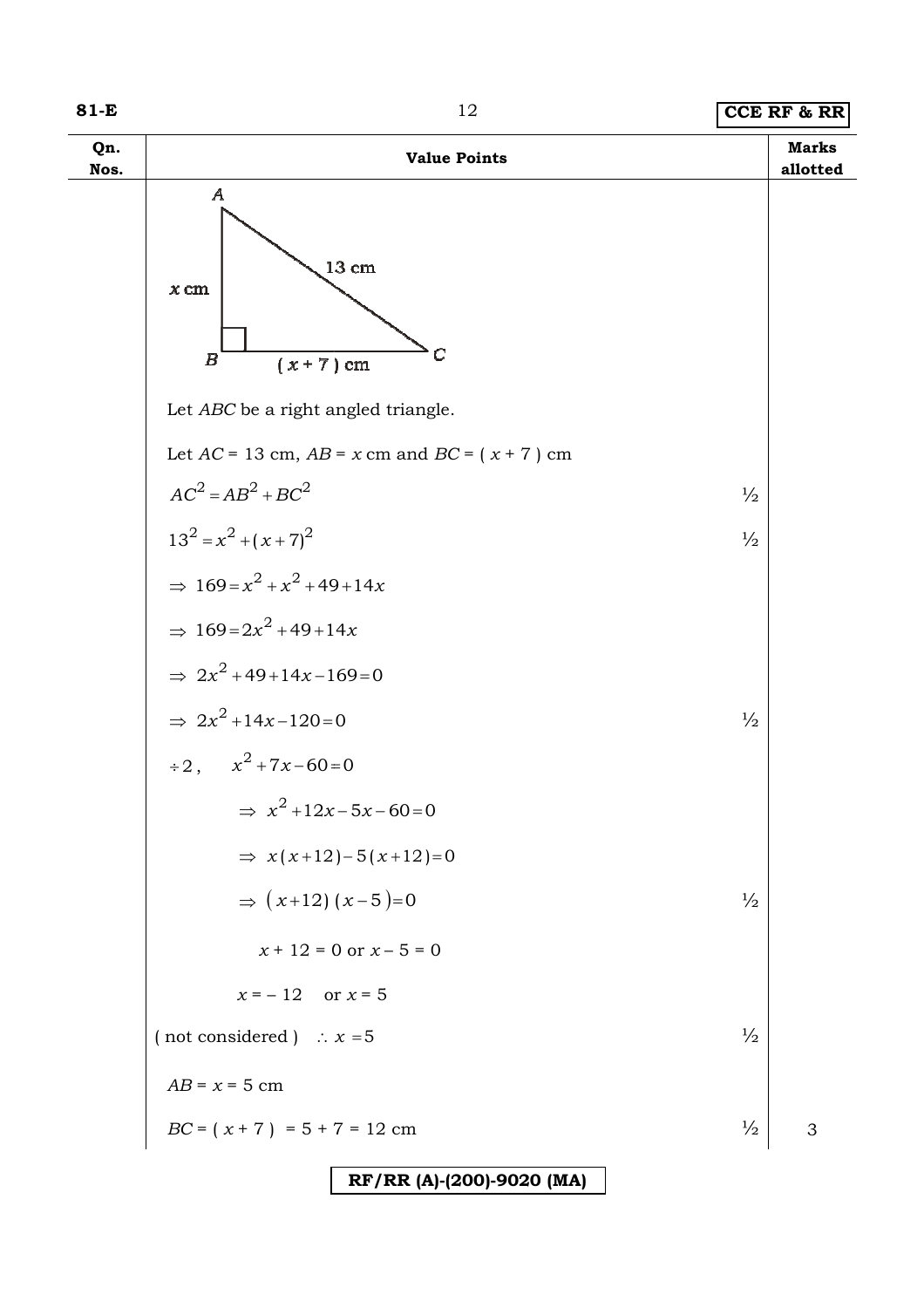| Qn.<br>Nos. | <b>Value Points</b>                                                                           |               | <b>Marks</b><br>allotted |
|-------------|-----------------------------------------------------------------------------------------------|---------------|--------------------------|
|             | $\boldsymbol{A}$<br>$13\;{\rm cm}$<br>$x\,\mathrm{cm}$<br>С<br>$\boldsymbol{B}$<br>$(x+7)$ cm |               |                          |
|             | Let ABC be a right angled triangle.                                                           |               |                          |
|             | Let $AC = 13$ cm, $AB = x$ cm and $BC = (x + 7)$ cm                                           |               |                          |
|             | $AC2 = AB2 + BC2$                                                                             | $\frac{1}{2}$ |                          |
|             | $13^2 = x^2 + (x+7)^2$                                                                        | $\frac{1}{2}$ |                          |
|             | $\Rightarrow 169 = x^2 + x^2 + 49 + 14x$                                                      |               |                          |
|             | $\Rightarrow 169 = 2x^2 + 49 + 14x$                                                           |               |                          |
|             | $\Rightarrow 2x^2 + 49 + 14x - 169 = 0$                                                       |               |                          |
|             | $\Rightarrow 2x^2 + 14x - 120 = 0$                                                            | $\frac{1}{2}$ |                          |
|             | $\div 2$ , $x^2 + 7x - 60 = 0$                                                                |               |                          |
|             | $\Rightarrow x^2 + 12x - 5x - 60 = 0$                                                         |               |                          |
|             | $\Rightarrow$ $x(x+12)-5(x+12)=0$                                                             |               |                          |
|             | $\Rightarrow$ $(x+12)(x-5)=0$                                                                 | $\frac{1}{2}$ |                          |
|             | $x + 12 = 0$ or $x - 5 = 0$                                                                   |               |                          |
|             | $x = -12$ or $x = 5$                                                                          |               |                          |
|             | (not considered) $\therefore$ $x = 5$                                                         | $\frac{1}{2}$ |                          |
|             | $AB = x = 5$ cm                                                                               |               |                          |
|             | $BC = (x + 7) = 5 + 7 = 12$ cm                                                                | $\frac{1}{2}$ | 3                        |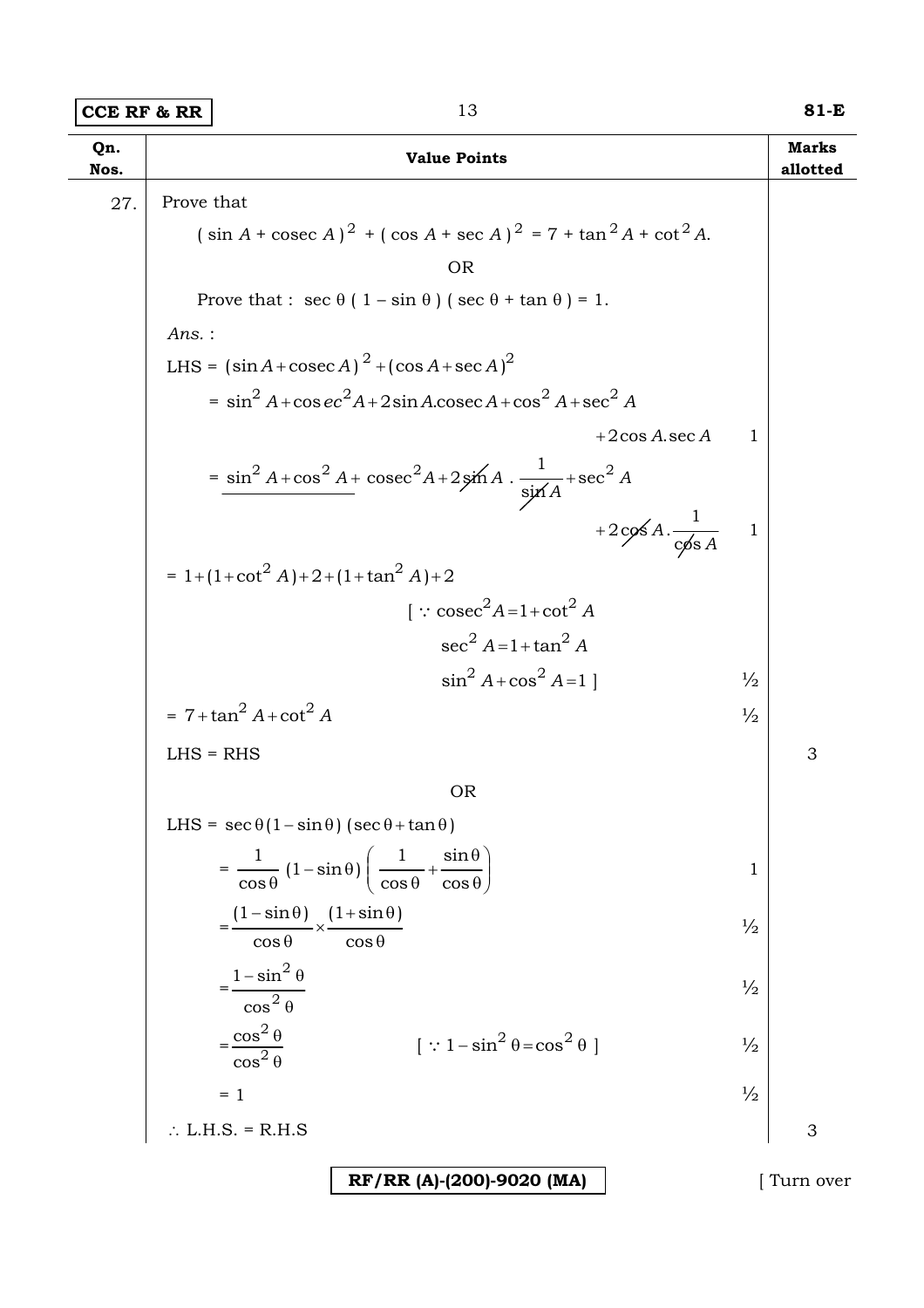### **CCE RF & RR 13 81-E**

| Qn.<br>Nos. | <b>Value Points</b>                                                                                  |               | <b>Marks</b><br>allotted |
|-------------|------------------------------------------------------------------------------------------------------|---------------|--------------------------|
| 27.         | Prove that                                                                                           |               |                          |
|             | $(\sin A + \csc A)^2 + (\cos A + \sec A)^2 = 7 + \tan^2 A + \cot^2 A$ .                              |               |                          |
|             | <b>OR</b>                                                                                            |               |                          |
|             | Prove that : $\sec \theta (1 - \sin \theta) (\sec \theta + \tan \theta) = 1$ .                       |               |                          |
|             | $Ans.$ :                                                                                             |               |                          |
|             | LHS = $(\sin A + \csc A)^2 + (\cos A + \sec A)^2$                                                    |               |                          |
|             | $= \sin^2 A + \cos e c^2 A + 2 \sin A \cdot \csc A + \cos^2 A + \sec^2 A$                            |               |                          |
|             | $+2\cos A \sec A$                                                                                    | $\mathbf{1}$  |                          |
|             | $=\frac{\sin^2 A + \cos^2 A + \csc^2 A + 2\sin A \cdot \frac{1}{\sin A} + \sec^2 A}{\sin A}$         |               |                          |
|             | +2cos $A \cdot \frac{1}{\cos A}$                                                                     |               |                          |
|             | $= 1 + (1 + \cot^2 A) + 2 + (1 + \tan^2 A) + 2$                                                      |               |                          |
|             | $\int$ : cosec <sup>2</sup> A=1+cot <sup>2</sup> A                                                   |               |                          |
|             | $\sec^2 A = 1 + \tan^2 A$                                                                            |               |                          |
|             | $\sin^2 A + \cos^2 A = 1$                                                                            | $\frac{1}{2}$ |                          |
|             | $= 7 + \tan^2 A + \cot^2 A$                                                                          | $\frac{1}{2}$ |                          |
|             | $LHS = RHS$                                                                                          |               | 3                        |
|             | <b>OR</b>                                                                                            |               |                          |
|             | LHS = $\sec \theta (1 - \sin \theta) (\sec \theta + \tan \theta)$                                    |               |                          |
|             | $=\frac{1}{\cos\theta}(1-\sin\theta)\left(\frac{1}{\cos\theta}+\frac{\sin\theta}{\cos\theta}\right)$ | 1             |                          |
|             | $=\frac{(1-\sin\theta)}{\cos\theta} \times \frac{(1+\sin\theta)}{\cos\theta}$                        | $\frac{1}{2}$ |                          |
|             | $=\frac{1-\sin^2\theta}{\cos^2\theta}$                                                               | $\frac{1}{2}$ |                          |
|             | $=\frac{\cos^2\theta}{\cos^2\theta}$<br>$[\because 1-\sin^2\theta = \cos^2\theta]$                   | $\frac{1}{2}$ |                          |
|             | $= 1$                                                                                                | $\frac{1}{2}$ |                          |
|             | $\therefore$ L.H.S. = R.H.S                                                                          |               | 3                        |
|             | RF/RR (A)-(200)-9020 (MA)                                                                            |               | [Turn over               |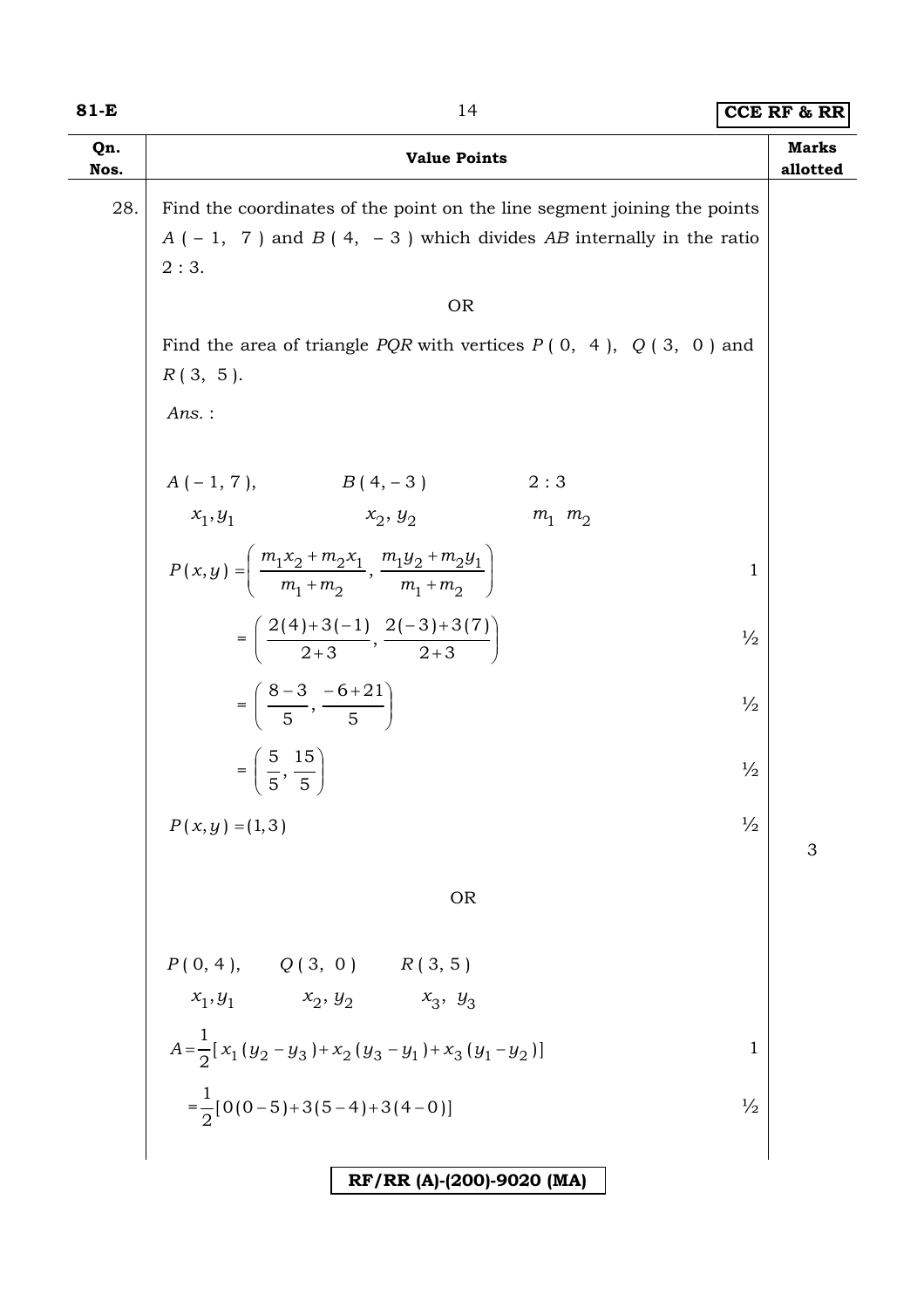#### **81-E** 14 **CCE RF & RR**

| Qn.<br>Nos. | <b>Value Points</b>                                                                                                                                    | <b>Marks</b><br>allotted |  |
|-------------|--------------------------------------------------------------------------------------------------------------------------------------------------------|--------------------------|--|
| 28.         | Find the coordinates of the point on the line segment joining the points<br>$A(-1, 7)$ and $B(4, -3)$ which divides AB internally in the ratio<br>2:3. |                          |  |
|             | <b>OR</b>                                                                                                                                              |                          |  |
|             | Find the area of triangle <i>PQR</i> with vertices $P(0, 4)$ , $Q(3, 0)$ and<br>$R(3, 5)$ .                                                            |                          |  |
|             | $Ans.$ :                                                                                                                                               |                          |  |
|             | $\begin{aligned} A\,(\,-\,1,\,7\,), \qquad \qquad B\,(\,4,\,-\,3\,) \\ x_1,y_1 \qquad \qquad x_2,\,y_2 \end{aligned}$<br>2:3                           |                          |  |
|             | $m_1$ $m_2$                                                                                                                                            |                          |  |
|             | $P(x,y) = \left(\frac{m_1x_2 + m_2x_1}{m_1 + m_2}, \frac{m_1y_2 + m_2y_1}{m_1 + m_2}\right)$                                                           | 1                        |  |
|             | $=\left(\frac{2(4)+3(-1)}{2+3},\frac{2(-3)+3(7)}{2+3}\right)$                                                                                          | $\frac{1}{2}$            |  |
|             | $=\left(\frac{8-3}{5},\frac{-6+21}{5}\right)$                                                                                                          | $\frac{1}{2}$            |  |
|             | $=\left(\frac{5}{5},\frac{15}{5}\right)$                                                                                                               | $\frac{1}{2}$            |  |
|             | $P(x, y) = (1, 3)$                                                                                                                                     | $\frac{1}{2}$<br>3       |  |
|             | <b>OR</b>                                                                                                                                              |                          |  |
|             | $P(0, 4), \qquad Q(3, 0) \qquad R(3, 5)$                                                                                                               |                          |  |
|             | $x_1, y_1$ $x_2, y_2$ $x_3, y_3$                                                                                                                       |                          |  |
|             | $A=\frac{1}{2}[x_1(y_2-y_3)+x_2(y_3-y_1)+x_3(y_1-y_2)]$                                                                                                | $\mathbf 1$              |  |
|             | $=\frac{1}{2}[0(0-5)+3(5-4)+3(4-0)]$                                                                                                                   | $\frac{1}{2}$            |  |
|             |                                                                                                                                                        |                          |  |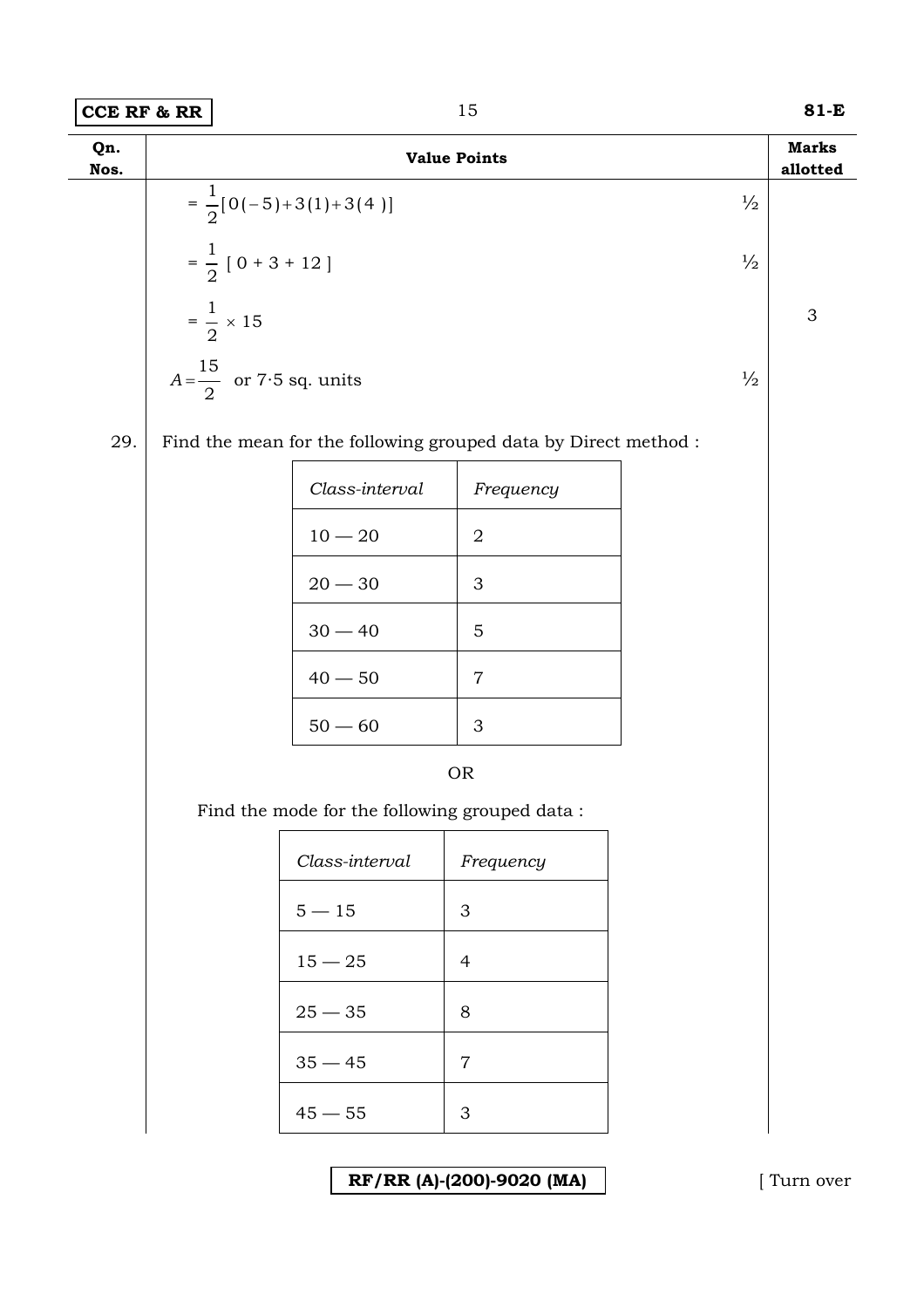| $=\frac{1}{2}[0(-5)+3(1)+3(4)]$<br>$\frac{1}{2}$<br>$=\frac{1}{2}$ [ 0 + 3 + 12 ]<br>$\frac{1}{2}$<br>$=\frac{1}{2} \times 15$<br>$A = \frac{15}{2}$ or 7.5 sq. units<br>$\frac{1}{2}$<br>29.<br>Find the mean for the following grouped data by Direct method :<br>Class-interval<br>Frequency<br>$10-20\,$<br>$\boldsymbol{2}$<br>$20-30\,$<br>$\ensuremath{\mathsf{3}}$<br>$30 - 40$<br>$\mathbf 5$<br>$40-50\,$<br>$\,7$<br>$50-60\,$<br>$\ensuremath{\mathsf{3}}$<br><b>OR</b><br>Find the mode for the following grouped data :<br>Class-interval<br>Frequency | <b>Marks</b><br>allotted  |  | <b>Value Points</b> |  | Qn.<br>Nos. |
|----------------------------------------------------------------------------------------------------------------------------------------------------------------------------------------------------------------------------------------------------------------------------------------------------------------------------------------------------------------------------------------------------------------------------------------------------------------------------------------------------------------------------------------------------------------------|---------------------------|--|---------------------|--|-------------|
|                                                                                                                                                                                                                                                                                                                                                                                                                                                                                                                                                                      |                           |  |                     |  |             |
|                                                                                                                                                                                                                                                                                                                                                                                                                                                                                                                                                                      |                           |  |                     |  |             |
|                                                                                                                                                                                                                                                                                                                                                                                                                                                                                                                                                                      | $\ensuremath{\mathsf{3}}$ |  |                     |  |             |
|                                                                                                                                                                                                                                                                                                                                                                                                                                                                                                                                                                      |                           |  |                     |  |             |
|                                                                                                                                                                                                                                                                                                                                                                                                                                                                                                                                                                      |                           |  |                     |  |             |
|                                                                                                                                                                                                                                                                                                                                                                                                                                                                                                                                                                      |                           |  |                     |  |             |
|                                                                                                                                                                                                                                                                                                                                                                                                                                                                                                                                                                      |                           |  |                     |  |             |
|                                                                                                                                                                                                                                                                                                                                                                                                                                                                                                                                                                      |                           |  |                     |  |             |
|                                                                                                                                                                                                                                                                                                                                                                                                                                                                                                                                                                      |                           |  |                     |  |             |
|                                                                                                                                                                                                                                                                                                                                                                                                                                                                                                                                                                      |                           |  |                     |  |             |
|                                                                                                                                                                                                                                                                                                                                                                                                                                                                                                                                                                      |                           |  |                     |  |             |
|                                                                                                                                                                                                                                                                                                                                                                                                                                                                                                                                                                      |                           |  |                     |  |             |
|                                                                                                                                                                                                                                                                                                                                                                                                                                                                                                                                                                      |                           |  |                     |  |             |
|                                                                                                                                                                                                                                                                                                                                                                                                                                                                                                                                                                      |                           |  |                     |  |             |
| $5 - 15$<br>3                                                                                                                                                                                                                                                                                                                                                                                                                                                                                                                                                        |                           |  |                     |  |             |
| $15 - 25$<br>$\overline{4}$                                                                                                                                                                                                                                                                                                                                                                                                                                                                                                                                          |                           |  |                     |  |             |
| $25 - 35$<br>8                                                                                                                                                                                                                                                                                                                                                                                                                                                                                                                                                       |                           |  |                     |  |             |
| $35 - 45$<br>$\overline{7}$                                                                                                                                                                                                                                                                                                                                                                                                                                                                                                                                          |                           |  |                     |  |             |
| $45 - 55$<br>3                                                                                                                                                                                                                                                                                                                                                                                                                                                                                                                                                       |                           |  |                     |  |             |

**RF/RR (A)-(200)-9020 (MA)** [ Turn over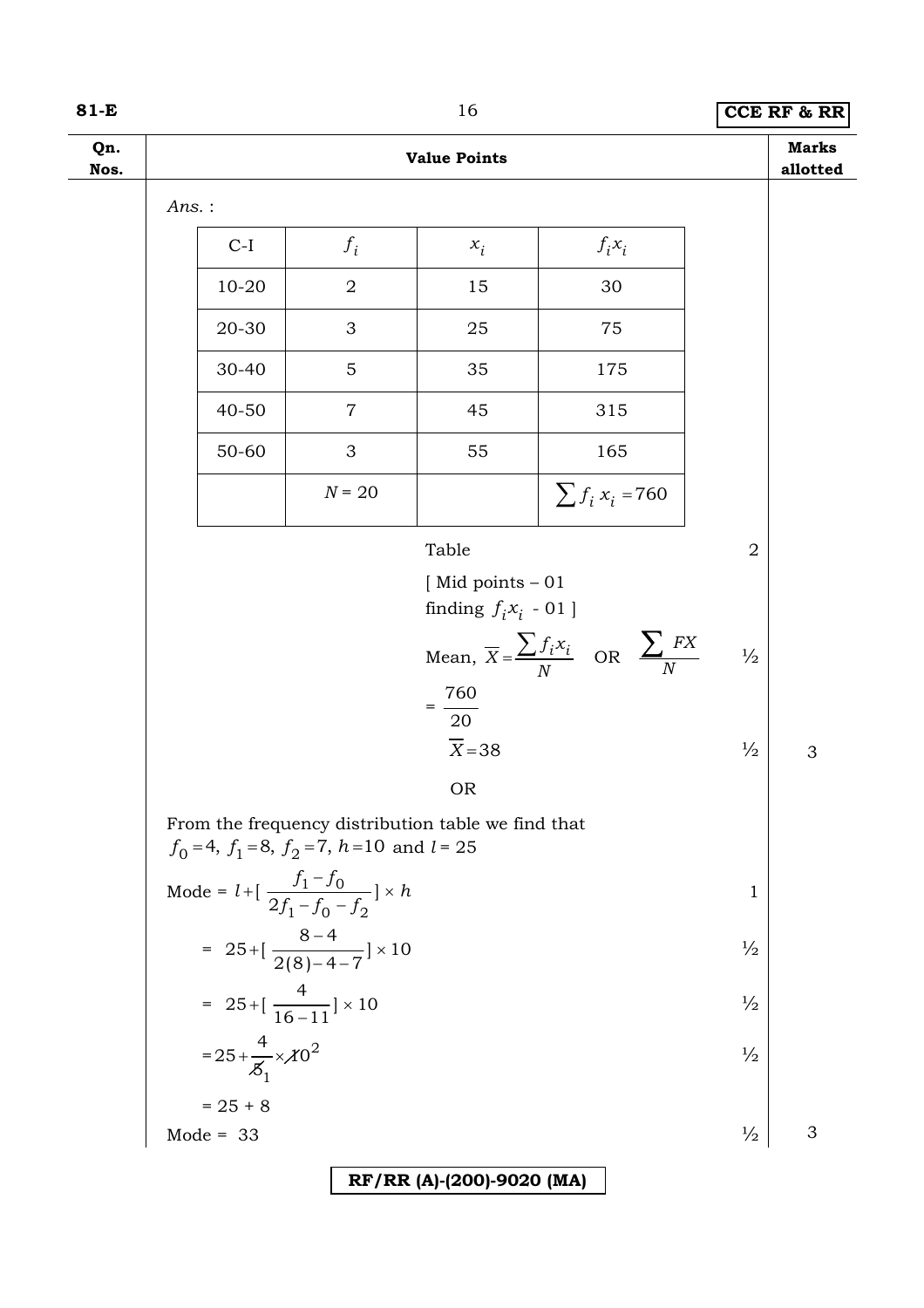### **81-E** 16 **CCE RF & RR**

| Qn.<br>Nos. |       |                                    |                                                                         | <b>Value Points</b>                                |                                                                |                | <b>Marks</b><br>allotted |
|-------------|-------|------------------------------------|-------------------------------------------------------------------------|----------------------------------------------------|----------------------------------------------------------------|----------------|--------------------------|
|             | Ans.: |                                    |                                                                         |                                                    |                                                                |                |                          |
|             |       | $C-I$                              | $f_i$                                                                   | $x_i$                                              | $f_i x_i$                                                      |                |                          |
|             |       | 10-20                              | $\overline{2}$                                                          | 15                                                 | 30                                                             |                |                          |
|             |       | 20-30                              | 3                                                                       | 25                                                 | 75                                                             |                |                          |
|             |       | 30-40                              | 5                                                                       | 35                                                 | 175                                                            |                |                          |
|             |       | 40-50                              | $\overline{7}$                                                          | 45                                                 | 315                                                            |                |                          |
|             |       | 50-60                              | 3                                                                       | 55                                                 | 165                                                            |                |                          |
|             |       |                                    | $N = 20$                                                                |                                                    | $\sum f_i x_i = 760$                                           |                |                          |
|             |       |                                    |                                                                         | Table                                              |                                                                | $\overline{2}$ |                          |
|             |       |                                    |                                                                         | [Mid points $-01$<br>finding $f_i x_i$ - 01 ]      |                                                                |                |                          |
|             |       |                                    |                                                                         |                                                    | Mean, $\overline{X} = \frac{\sum f_i x_i}{N}$ OR $\sum_{N} FX$ | $\frac{1}{2}$  |                          |
|             |       |                                    |                                                                         | $=\frac{760}{20}$                                  |                                                                |                |                          |
|             |       |                                    |                                                                         | $\overline{X}$ =38                                 |                                                                | $\frac{1}{2}$  | 3                        |
|             |       |                                    |                                                                         | <b>OR</b>                                          |                                                                |                |                          |
|             |       |                                    | $f_0 = 4$ , $f_1 = 8$ , $f_2 = 7$ , $h = 10$ and $l = 25$               | From the frequency distribution table we find that |                                                                |                |                          |
|             |       |                                    | Mode = $l + \left[ \frac{f_1 - f_0}{2f_1 - f_0 - f_2} \right] \times h$ |                                                    |                                                                | $\mathbf{1}$   |                          |
|             |       |                                    |                                                                         |                                                    |                                                                |                |                          |
|             |       |                                    | = $25 + [\frac{8-4}{2(8)-4-7}] \times 10$                               |                                                    |                                                                | $\frac{1}{2}$  |                          |
|             |       |                                    | = $25 + [\frac{4}{16-11}] \times 10$                                    |                                                    |                                                                | $\frac{1}{2}$  |                          |
|             |       | $= 25 + \frac{4}{5} \times 10^{2}$ |                                                                         |                                                    |                                                                | $\frac{1}{2}$  |                          |
|             |       | $= 25 + 8$<br>Mode = 33            |                                                                         |                                                    |                                                                |                |                          |
|             |       |                                    |                                                                         |                                                    |                                                                | $\frac{1}{2}$  | 3                        |
|             |       |                                    |                                                                         | RF/RR (A)-(200)-9020 (MA)                          |                                                                |                |                          |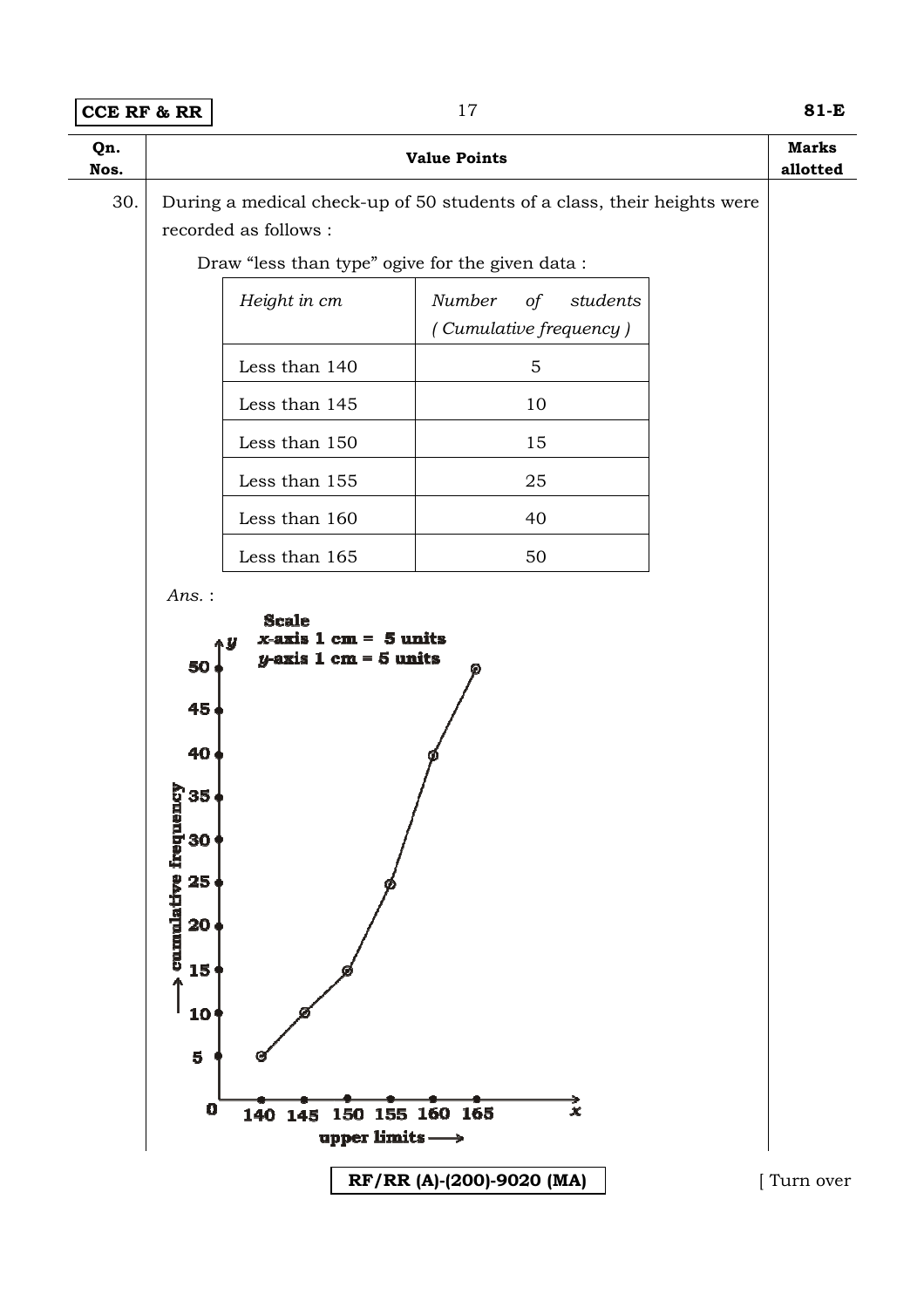| 30. | recorded as follows :<br>Height in cm<br>Less than 140<br>Less than 145<br>Less than 150<br>Less than 155 | During a medical check-up of 50 students of a class, their heights were<br>Draw "less than type" ogive for the given data:<br>Number<br>$\circ f$<br>(Cumulative frequency)<br>$\mathbf 5$<br>10<br>15 | students  |           |
|-----|-----------------------------------------------------------------------------------------------------------|--------------------------------------------------------------------------------------------------------------------------------------------------------------------------------------------------------|-----------|-----------|
|     |                                                                                                           |                                                                                                                                                                                                        |           |           |
|     |                                                                                                           |                                                                                                                                                                                                        |           |           |
|     |                                                                                                           |                                                                                                                                                                                                        |           |           |
|     |                                                                                                           |                                                                                                                                                                                                        |           |           |
|     |                                                                                                           |                                                                                                                                                                                                        |           |           |
|     |                                                                                                           |                                                                                                                                                                                                        |           |           |
|     |                                                                                                           |                                                                                                                                                                                                        |           |           |
|     |                                                                                                           | 25                                                                                                                                                                                                     |           |           |
|     | Less than 160                                                                                             | 40                                                                                                                                                                                                     |           |           |
|     | Less than 165                                                                                             | 50                                                                                                                                                                                                     |           |           |
|     | 45<br>40<br>ncy<br>35<br>cumulative freque<br>30<br>25<br>20<br>15<br>10<br>$\overline{\mathbf{5}}$       |                                                                                                                                                                                                        |           |           |
|     | $\mathbf 0$<br>140 145                                                                                    | 150 155 160 165<br>upper limits $\longrightarrow$<br>RF/RR (A)-(200)-9020 (MA)                                                                                                                         | $\vec{x}$ | Turn over |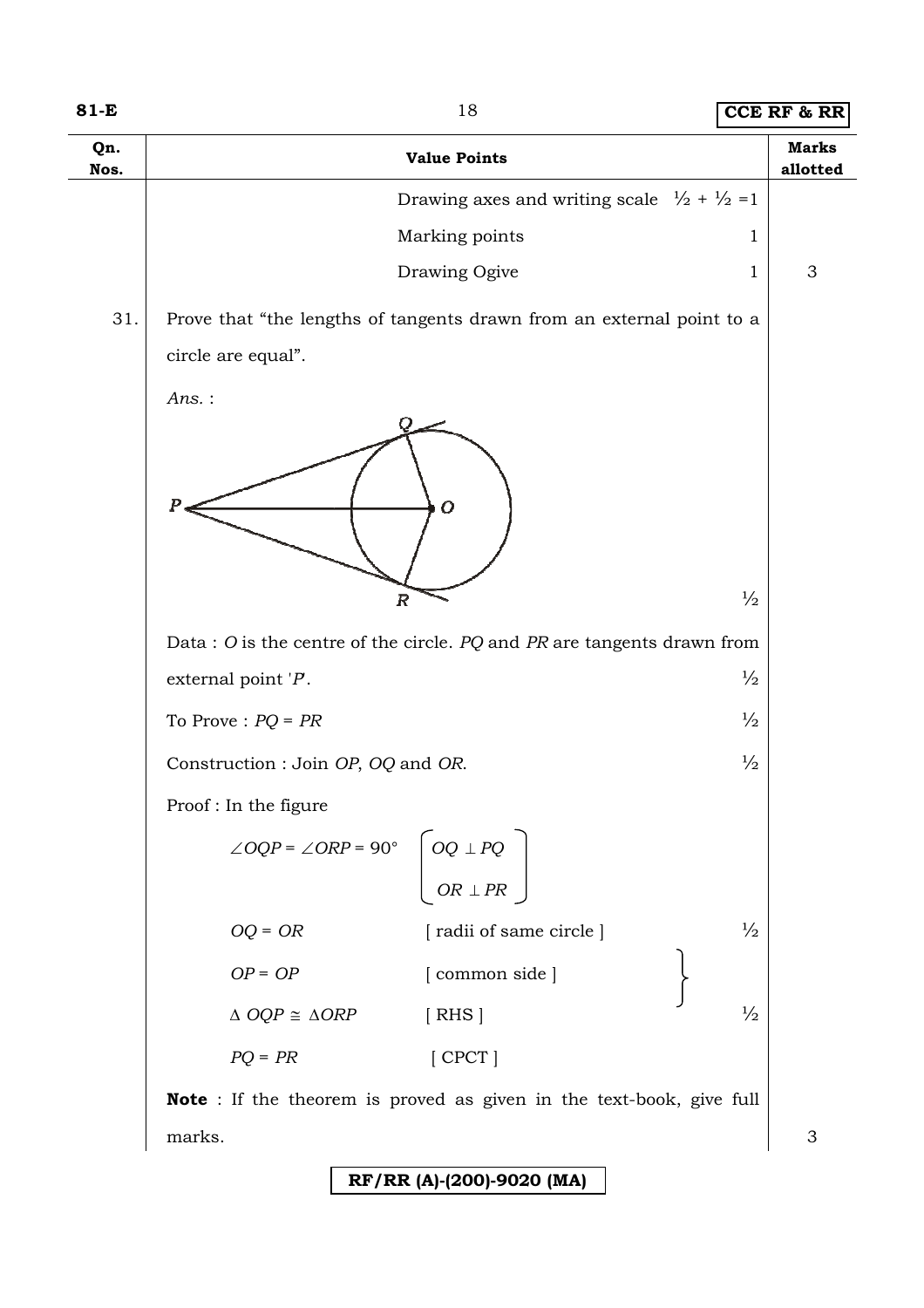| Qn.<br>Nos. | <b>Value Points</b>                                                                               | <b>Marks</b><br>allotted |
|-------------|---------------------------------------------------------------------------------------------------|--------------------------|
|             | Drawing axes and writing scale $\frac{1}{2} + \frac{1}{2} = 1$                                    |                          |
|             | Marking points<br>$\mathbf{1}$                                                                    |                          |
|             | Drawing Ogive<br>1                                                                                | 3                        |
| 31.         | Prove that "the lengths of tangents drawn from an external point to a                             |                          |
|             | circle are equal".                                                                                |                          |
|             | Ans.:                                                                                             |                          |
|             | P<br>$\overline{O}$<br>$\frac{1}{2}$<br>$\overline{R}$                                            |                          |
|             |                                                                                                   |                          |
|             | Data : O is the centre of the circle. $PQ$ and $PR$ are tangents drawn from                       |                          |
|             | $\frac{1}{2}$<br>external point $P$ .                                                             |                          |
|             | $\frac{1}{2}$<br>To Prove : $PQ = PR$                                                             |                          |
|             | $\frac{1}{2}$<br>Construction : Join OP, OQ and OR.                                               |                          |
|             | Proof: In the figure                                                                              |                          |
|             | $\angle OQP = \angle ORP = 90^{\circ}$ $\begin{bmatrix} OQ \perp PQ \\ OR \perp PR \end{bmatrix}$ |                          |
|             | $\frac{1}{2}$<br>$OQ = OR$<br>[radii of same circle]                                              |                          |
|             | $OP = OP$<br>[common side]                                                                        |                          |
|             | $\frac{1}{2}$<br>$\triangle OQP \cong \triangle ORP$<br>[ RHS]                                    |                          |
|             | $PQ = PR$<br>$[$ CPCT $]$                                                                         |                          |
|             | <b>Note</b> : If the theorem is proved as given in the text-book, give full                       |                          |
|             | marks.                                                                                            | 3                        |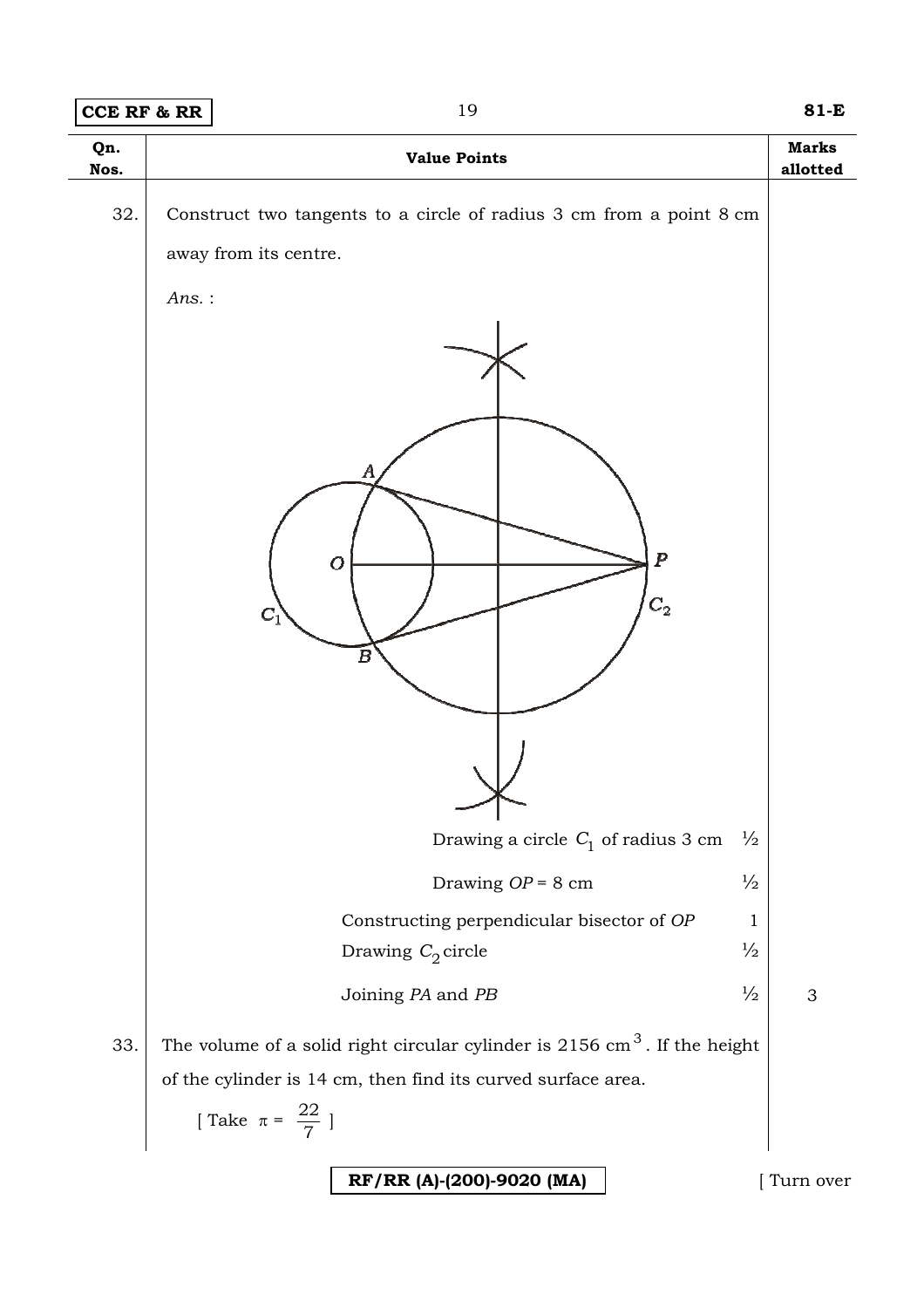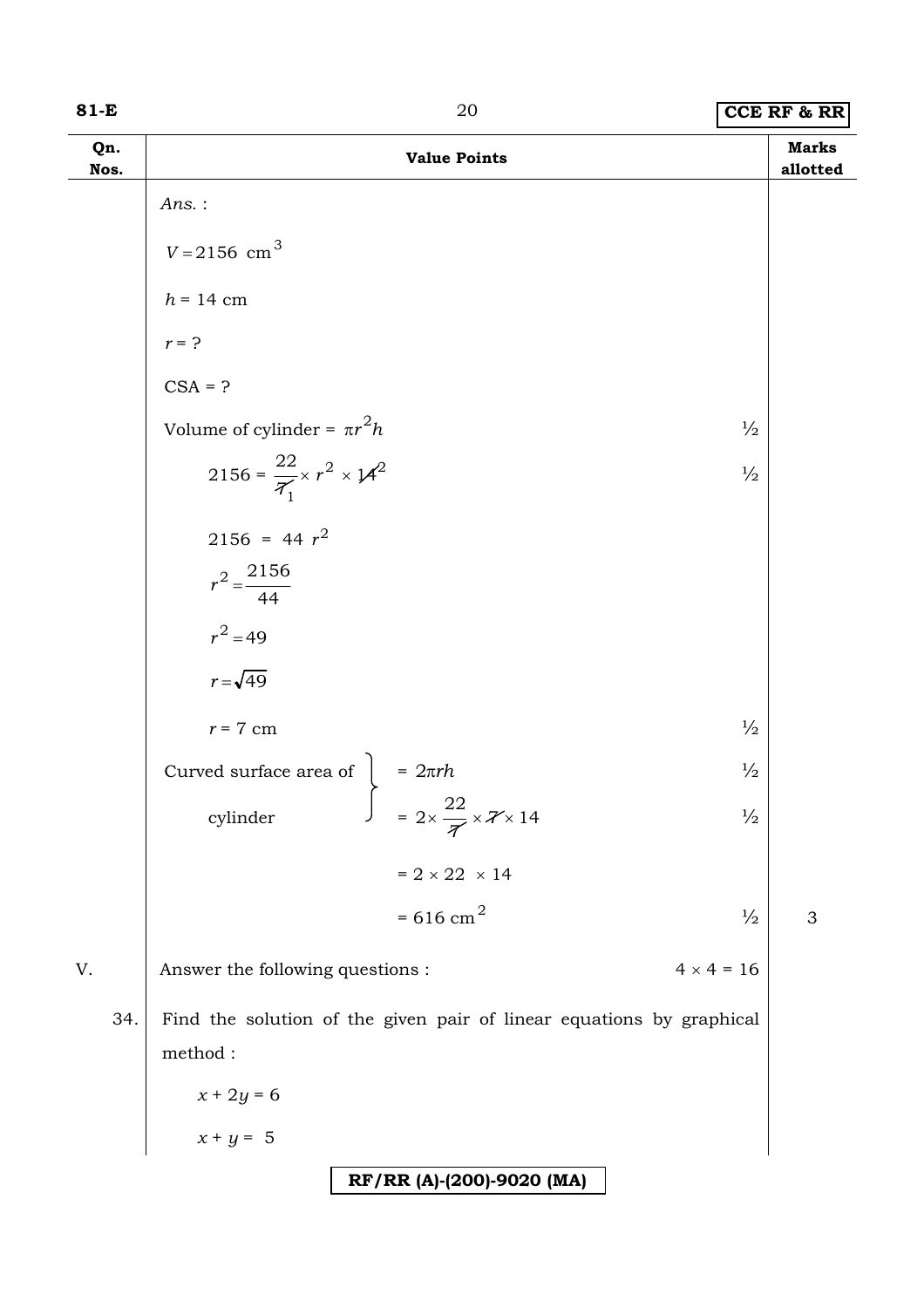### **81-E** 20 **CCE RF & RR**

| Qn.<br>Nos. | <b>Value Points</b>                                                                                                                   | <b>Marks</b><br>allotted |
|-------------|---------------------------------------------------------------------------------------------------------------------------------------|--------------------------|
|             | $Ans.$ :                                                                                                                              |                          |
|             | $V = 2156$ cm <sup>3</sup>                                                                                                            |                          |
|             | $h = 14$ cm                                                                                                                           |                          |
|             | $r = ?$                                                                                                                               |                          |
|             | $CSA = ?$                                                                                                                             |                          |
|             | Volume of cylinder = $\pi r^2 h$<br>$\frac{1}{2}$                                                                                     |                          |
|             | 2156 = $\frac{22}{7} \times r^2 \times 14^2$<br>$\frac{1}{2}$                                                                         |                          |
|             | $2156 = 44 r2$                                                                                                                        |                          |
|             | $r^2 = \frac{2156}{44}$                                                                                                               |                          |
|             | $r^2 = 49$                                                                                                                            |                          |
|             | $r = \sqrt{49}$                                                                                                                       |                          |
|             | $\frac{1}{2}$<br>$r = 7$ cm                                                                                                           |                          |
|             | $\frac{1}{2}$                                                                                                                         |                          |
|             | Curved surface area of $\begin{cases}\n= 2\pi rh \\ = 2 \times \frac{22}{\sqrt{7}} \times \frac{7}{14}\n\end{cases}$<br>$\frac{1}{2}$ |                          |
|             | $= 2 \times 22 \times 14$                                                                                                             |                          |
|             | $= 616$ cm <sup>2</sup><br>$\frac{1}{2}$                                                                                              | 3                        |
| V.          | Answer the following questions :<br>$4 \times 4 = 16$                                                                                 |                          |
| 34.         | Find the solution of the given pair of linear equations by graphical<br>$\rm{method}$ :                                               |                          |
|             |                                                                                                                                       |                          |
|             | $x + 2y = 6$<br>$x + y = 5$                                                                                                           |                          |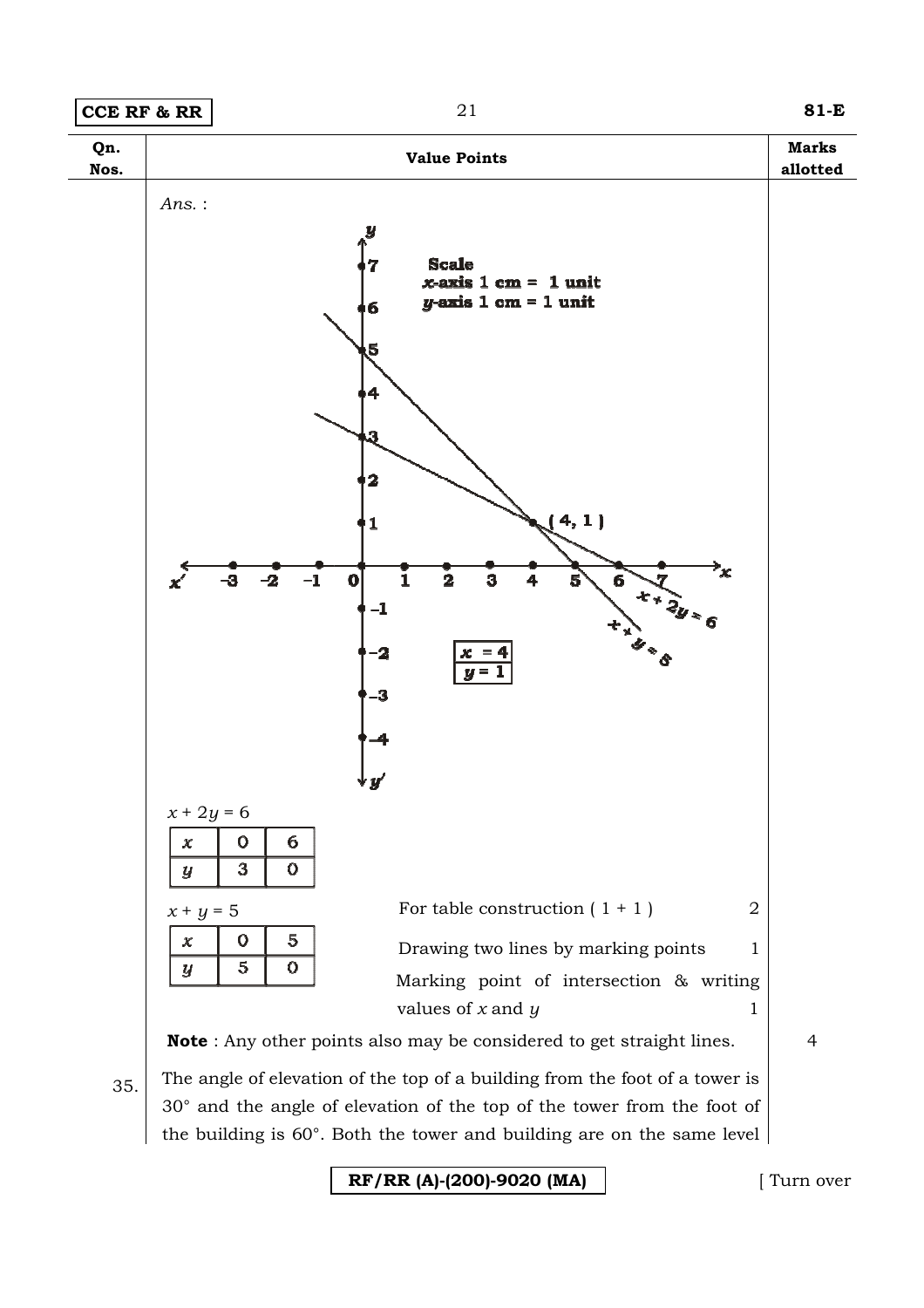



 $35.$  The angle of elevation of the top of a building from the foot of a tower is 30° and the angle of elevation of the top of the tower from the foot of the building is 60°. Both the tower and building are on the same level

**RF/RR (A)-(200)-9020 (MA)**

[ Turn over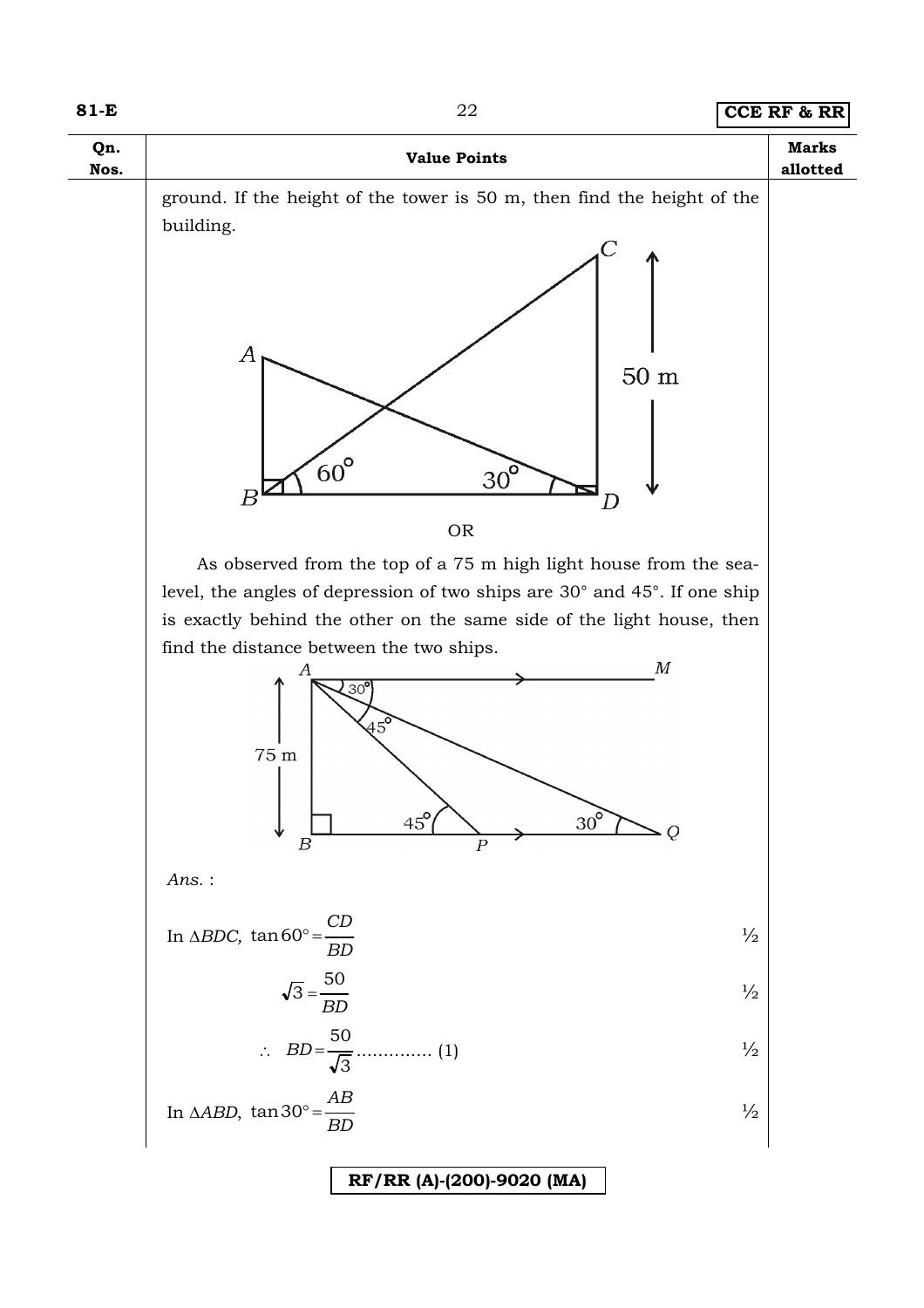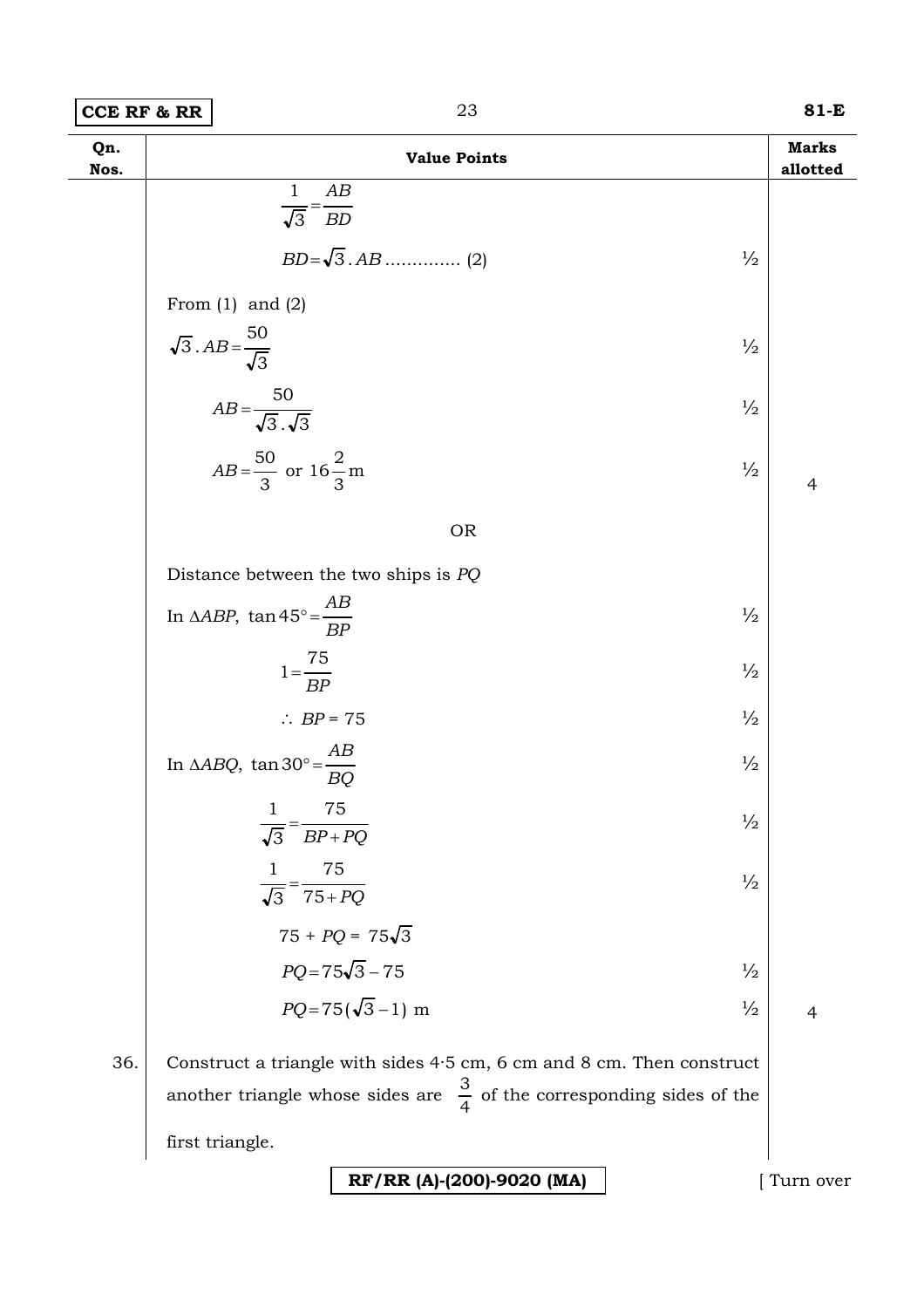| $81-E$ |
|--------|
|        |

| Qn.<br>Nos. | <b>Value Points</b>                                                                                                                                             | <b>Marks</b><br>allotted |
|-------------|-----------------------------------------------------------------------------------------------------------------------------------------------------------------|--------------------------|
|             | $\mathbf{1}$<br>AB<br>$\overline{\sqrt{3}} = \overline{BD}$                                                                                                     |                          |
|             |                                                                                                                                                                 |                          |
|             | $\frac{1}{2}$                                                                                                                                                   |                          |
|             | From $(1)$ and $(2)$                                                                                                                                            |                          |
|             | $\sqrt{3}$ . $AB = \frac{50}{\sqrt{3}}$<br>$\frac{1}{2}$                                                                                                        |                          |
|             | $AB = \frac{50}{\sqrt{3} \cdot \sqrt{3}}$<br>$\frac{1}{2}$                                                                                                      |                          |
|             | $AB = \frac{50}{3}$ or $16\frac{2}{3}$ m<br>$\frac{1}{2}$                                                                                                       | $\overline{4}$           |
|             | <b>OR</b>                                                                                                                                                       |                          |
|             | Distance between the two ships is $PQ$                                                                                                                          |                          |
|             | In $\triangle ABP$ , $\tan 45^\circ = \frac{AB}{BP}$<br>$\frac{1}{2}$                                                                                           |                          |
|             | $1 = \frac{75}{BP}$<br>$\frac{1}{2}$                                                                                                                            |                          |
|             | $\frac{1}{2}$<br>$\therefore BP = 75$                                                                                                                           |                          |
|             | In $\triangle ABQ$ , $\tan 30^\circ = \frac{AB}{BQ}$<br>$\frac{1}{2}$                                                                                           |                          |
|             | 75<br>$\mathbf{1}$<br>$\frac{1}{2}$<br>$\overline{BP+PQ}$<br>$\sqrt{3}$                                                                                         |                          |
|             | 75<br>$\mathbf{1}$<br>$\frac{1}{2}$<br>$\frac{1}{\sqrt{3}} = \frac{1}{75 + PQ}$                                                                                 |                          |
|             | $75 + PQ = 75\sqrt{3}$                                                                                                                                          |                          |
|             | $PQ = 75\sqrt{3} - 75$<br>$\frac{1}{2}$                                                                                                                         |                          |
|             | $PQ = 75(\sqrt{3}-1)$ m<br>$\frac{1}{2}$                                                                                                                        | $\overline{4}$           |
| 36.         | Construct a triangle with sides $4.5$ cm, $6$ cm and $8$ cm. Then construct<br>another triangle whose sides are $\frac{3}{4}$ of the corresponding sides of the |                          |
|             | first triangle.                                                                                                                                                 |                          |

**RF/RR (A)-(200)-9020 (MA)** [ Turn over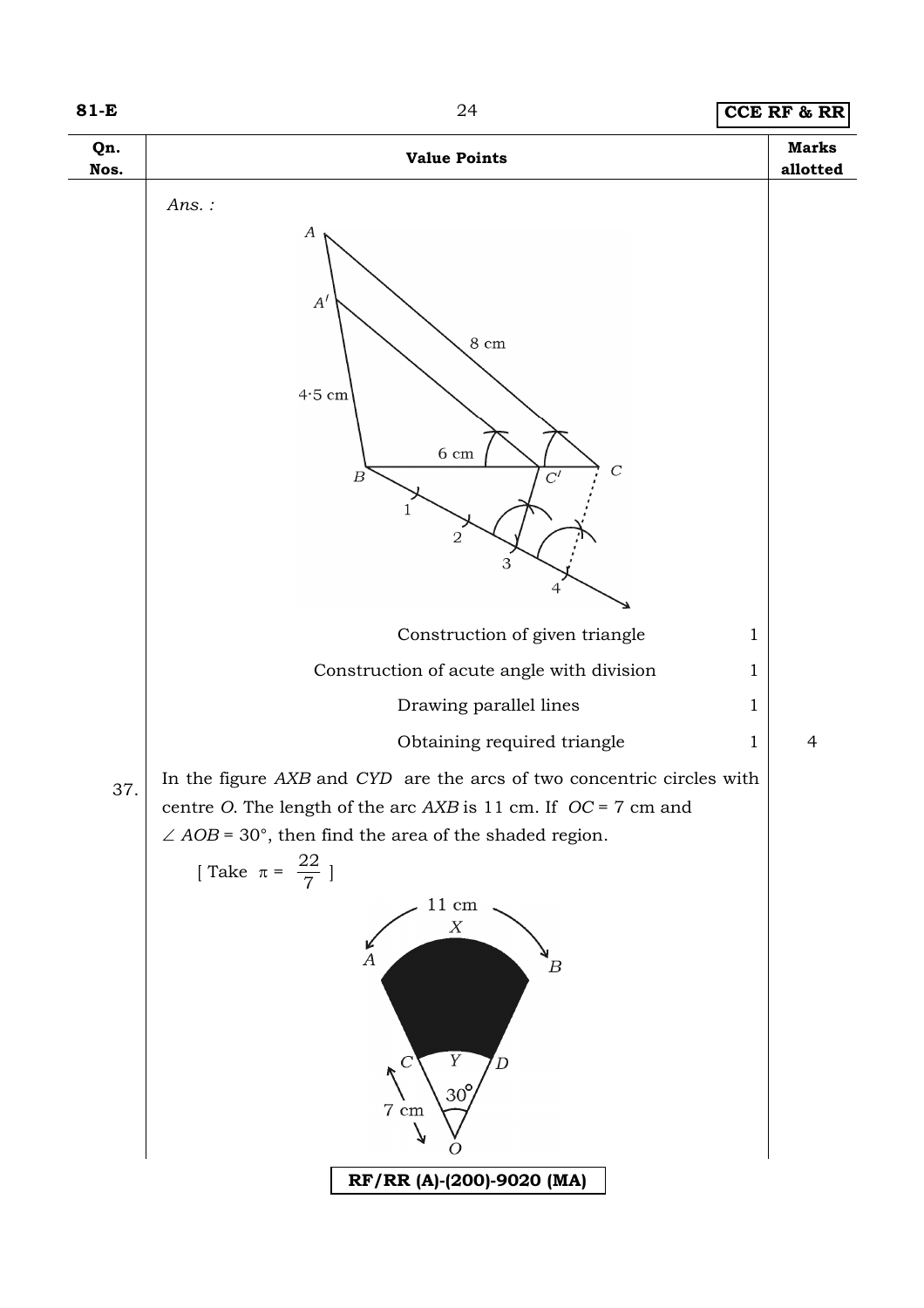

#### **81-E** 24 **CCE RF & RR**

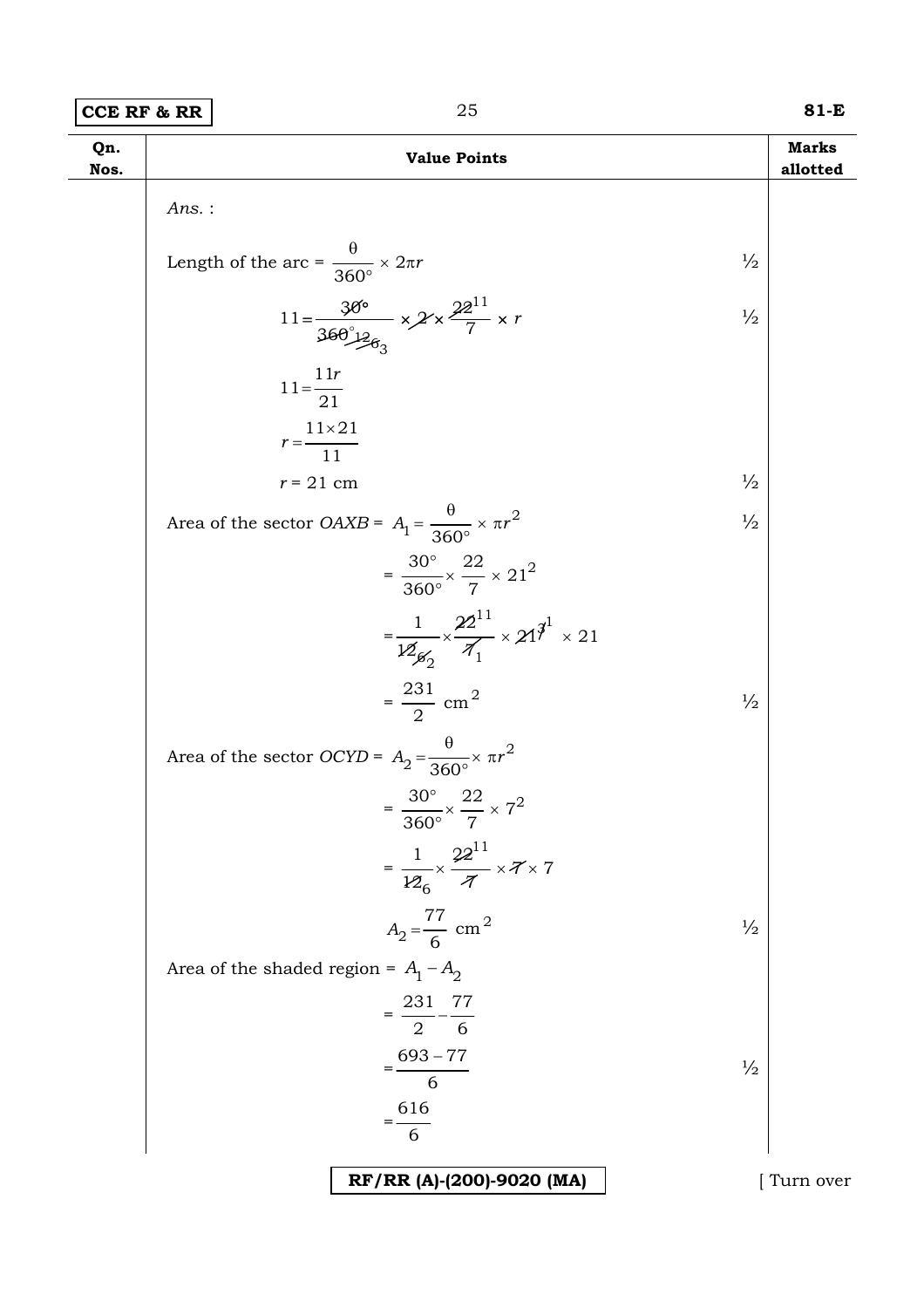| <b>CCE RF &amp; RR</b> | 81-E |
|------------------------|------|
|                        |      |

| Qn.<br>Nos. | <b>Value Points</b>                                                                                                  | <b>Marks</b><br>allotted |
|-------------|----------------------------------------------------------------------------------------------------------------------|--------------------------|
|             | $Ans.$ :                                                                                                             |                          |
|             | Length of the arc = $\frac{\theta}{360^{\circ}} \times 2\pi r$<br>$\frac{1}{2}$                                      |                          |
|             | 11= $\frac{30^{\circ}}{36\theta_{12}^{\circ}\theta_{3}} \times 2 \times \frac{22^{11}}{7} \times r$<br>$\frac{1}{2}$ |                          |
|             | $11 = \frac{11r}{21}$                                                                                                |                          |
|             | $r = \frac{11 \times 21}{11}$                                                                                        |                          |
|             | $\frac{1}{2}$<br>$r = 21$ cm                                                                                         |                          |
|             | Area of the sector <i>OAXB</i> = $A_1 = \frac{\theta}{360^\circ} \times \pi r^2$<br>$\frac{1}{2}$                    |                          |
|             | $=\frac{30^{\circ}}{360^{\circ}} \times \frac{22}{7} \times 21^{2}$                                                  |                          |
|             | $=\frac{1}{12g_0}\times\frac{22^{11}}{\mathcal{A}_1}\times21^{\mathfrak{Z}^1}\times21$                               |                          |
|             | $=\frac{231}{2}$ cm <sup>2</sup><br>$\frac{1}{2}$                                                                    |                          |
|             | Area of the sector <i>OCYD</i> = $A_2 = \frac{\theta}{360^\circ} \times \pi r^2$                                     |                          |
|             | $=\frac{30^{\circ}}{360^{\circ}} \times \frac{22}{7} \times 7^2$                                                     |                          |
|             | $=\frac{1}{126}\times\frac{22^{11}}{\pi}\times7\times7$                                                              |                          |
|             | $A_2 = \frac{77}{6}$ cm <sup>2</sup><br>$\frac{1}{2}$                                                                |                          |
|             | Area of the shaded region = $A_1 - A_2$                                                                              |                          |
|             | $=\frac{231}{2}-\frac{77}{6}$                                                                                        |                          |
|             | $=\frac{693-77}{6}$<br>$\frac{1}{2}$                                                                                 |                          |
|             | $=\frac{616}{6}$                                                                                                     |                          |
|             |                                                                                                                      |                          |
|             | RF/RR (A)-(200)-9020 (MA)                                                                                            | Turn over                |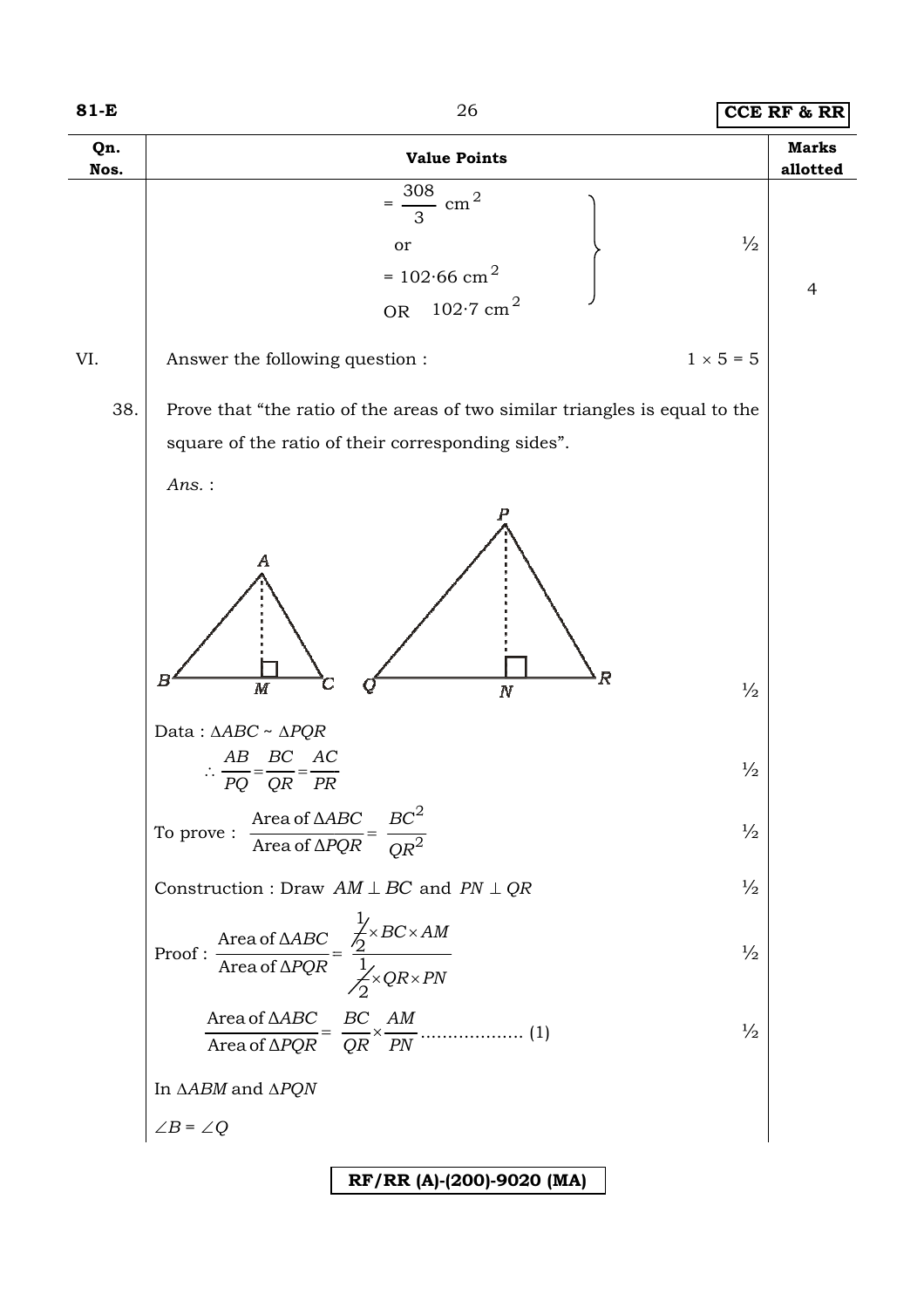